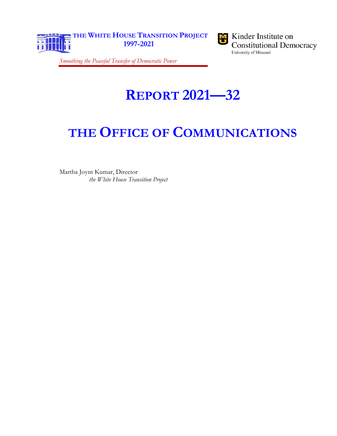



Kinder Institute on **Constitutional Democracy** University of Missouri

<span id="page-0-0"></span>*Smoothing the Peaceful Transfer of Democratic Power*

# **REPORT 2021—32**

# **THE OFFICE OF COMMUNICATIONS**

<span id="page-0-1"></span>Martha Joynt Kumar, Director *the White House Transition Project*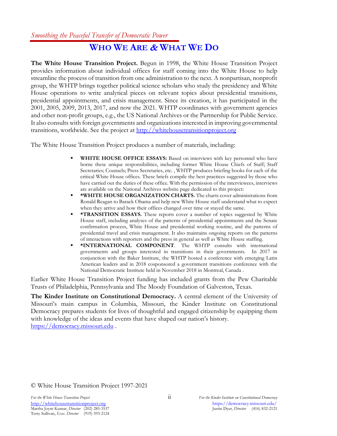## **WHO WE ARE** & **WHAT WE DO**

<span id="page-1-0"></span>**The White House Transition Project.** Begun in 1998, the White House Transition Project provides information about individual offices for staff coming into the White House to help streamline the process of transition from one administration to the next. A nonpartisan, nonprofit group, the WHTP brings together political science scholars who study the presidency and White House operations to write analytical pieces on relevant topics about presidential transitions, presidential appointments, and crisis management. Since its creation, it has participated in the 2001, 2005, 2009, 2013, 2017, and now the 2021. WHTP coordinates with government agencies and other non-profit groups, e.g., the US National Archives or the Partnership for Public Service. It also consults with foreign governments and organizations interested in improving governmental transitions, worldwide. See the project at [http://whitehousetransitionproject.org](http://whitehousetransitionproject.org/)

The White House Transition Project produces a number of materials, including:

- WHITE HOUSE OFFICE ESSAYS: Based on interviews with key personnel who have borne these unique responsibilities, including former White House Chiefs of Staff; Staff Secretaries; Counsels; Press Secretaries, etc. , WHTP produces briefing books for each of the critical White House offices. These briefs compile the best practices suggested by those who have carried out the duties of these office. With the permission of the interviewees, interviews are available on the National Archives website page dedicated to this project:
- **\*WHITE HOUSE ORGANIZATION CHARTS.** The charts cover administrations from Ronald Reagan to Barack Obama and help new White House staff understand what to expect when they arrive and how their offices changed over time or stayed the same.
- **\*TRANSITION ESSAYS.** These reports cover a number of topics suggested by White House staff, including analyses of the patterns of presidential appointments and the Senate confirmation process, White House and presidential working routine, and the patterns of presidential travel and crisis management. It also maintains ongoing reports on the patterns of interactions with reporters and the press in general as well as White House staffing.
- **\*INTERNATIONAL COMPONENT**. The WHTP consults with international governments and groups interested in transitions in their governments. In 2017 in conjunction with the Baker Institute, the WHTP hosted a conference with emerging Latin American leaders and in 2018 cosponsored a government transitions conference with the National Democratic Institute held in November 2018 in Montreal, Canada .

Earlier White House Transition Project funding has included grants from the Pew Charitable Trusts of Philadelphia, Pennsylvania and The Moody Foundation of Galveston, Texas.

**The Kinder Institute on Constitutional Democracy.** A central element of the University of Missouri's main campus in Columbia, Missouri, the Kinder Institute on Constitutional Democracy prepares students for lives of thoughtful and engaged citizenship by equipping them with knowledge of the ideas and events that have shaped our nation's history. [https://democracy.missouri.edu](https://democracy.missouri.edu/) .

© White House Transition Project 1997-2021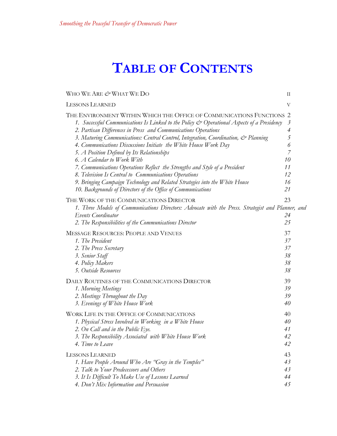# **TABLE OF CONTENTS**

| <b>LESSONS LEARNED</b><br>$\boldsymbol{\mathrm{V}}$<br>THE ENVIRONMENT WITHIN WHICH THE OFFICE OF COMMUNICATIONS FUNCTIONS 2<br>1. Successful Communications Is Linked to the Policy & Operational Aspects of a Presidency<br>$\beta$<br>2. Partisan Differences in Press and Communications Operations<br>$\overline{4}$<br>5<br>3. Maturing Communications: Central Control, Integration, Coordination, & Planning<br>4. Communications Discussions Initiate the White House Work Day<br>6<br>$\overline{7}$<br>5. A Position Defined by Its Relationships<br>6. A Calendar to Work With<br>10<br>7. Communications Operations Reflect the Strengths and Style of a President<br>11<br>8. Television Is Central to Communications Operations<br>12<br>9. Bringing Campaign Technology and Related Strategies into the White House<br>16<br>10. Backgrounds of Directors of the Office of Communications<br>21<br>THE WORK OF THE COMMUNICATIONS DIRECTOR<br>23<br>1. Three Models of Communications Directors: Advocate with the Press. Strategist and Planner, and<br>Events Coordinator<br>24<br>25<br>2. The Responsibilities of the Communications Director<br><b>MESSAGE RESOURCES: PEOPLE AND VENUES</b><br>37<br>1. The President<br>37<br>2. The Press Secretary<br>37<br>3. Senior Staff<br>38<br>4. Policy Makers<br>38<br>5. Outside Resources<br>38<br>DAILY ROUTINES OF THE COMMUNICATIONS DIRECTOR<br>39<br>39<br>1. Morning Meetings<br>2. Meetings Throughout the Day<br>39<br>3. Evenings of White House Work<br>40<br><b>WORK LIFE IN THE OFFICE OF COMMUNICATIONS</b><br>40<br>1. Physical Stress Involved in Working in a White House<br>40<br>2. On Call and in the Public Eye.<br>41<br>3. The Responsibility Associated with White House Work<br>42<br>4. Time to Leave<br>42<br><b>LESSONS LEARNED</b><br>43<br>1. Have People Around Who Are "Gray in the Temples"<br>43<br>2. Talk to Your Predecessors and Others<br>43<br>3. It Is Difficult To Make Use of Lessons Learned<br>44 | WHO WE ARE & WHAT WE DO                 | П  |
|-----------------------------------------------------------------------------------------------------------------------------------------------------------------------------------------------------------------------------------------------------------------------------------------------------------------------------------------------------------------------------------------------------------------------------------------------------------------------------------------------------------------------------------------------------------------------------------------------------------------------------------------------------------------------------------------------------------------------------------------------------------------------------------------------------------------------------------------------------------------------------------------------------------------------------------------------------------------------------------------------------------------------------------------------------------------------------------------------------------------------------------------------------------------------------------------------------------------------------------------------------------------------------------------------------------------------------------------------------------------------------------------------------------------------------------------------------------------------------------------------------------------------------------------------------------------------------------------------------------------------------------------------------------------------------------------------------------------------------------------------------------------------------------------------------------------------------------------------------------------------------------------------------------------------------------------------------------------------------------------------------------------|-----------------------------------------|----|
|                                                                                                                                                                                                                                                                                                                                                                                                                                                                                                                                                                                                                                                                                                                                                                                                                                                                                                                                                                                                                                                                                                                                                                                                                                                                                                                                                                                                                                                                                                                                                                                                                                                                                                                                                                                                                                                                                                                                                                                                                 |                                         |    |
|                                                                                                                                                                                                                                                                                                                                                                                                                                                                                                                                                                                                                                                                                                                                                                                                                                                                                                                                                                                                                                                                                                                                                                                                                                                                                                                                                                                                                                                                                                                                                                                                                                                                                                                                                                                                                                                                                                                                                                                                                 |                                         |    |
|                                                                                                                                                                                                                                                                                                                                                                                                                                                                                                                                                                                                                                                                                                                                                                                                                                                                                                                                                                                                                                                                                                                                                                                                                                                                                                                                                                                                                                                                                                                                                                                                                                                                                                                                                                                                                                                                                                                                                                                                                 |                                         |    |
|                                                                                                                                                                                                                                                                                                                                                                                                                                                                                                                                                                                                                                                                                                                                                                                                                                                                                                                                                                                                                                                                                                                                                                                                                                                                                                                                                                                                                                                                                                                                                                                                                                                                                                                                                                                                                                                                                                                                                                                                                 |                                         |    |
|                                                                                                                                                                                                                                                                                                                                                                                                                                                                                                                                                                                                                                                                                                                                                                                                                                                                                                                                                                                                                                                                                                                                                                                                                                                                                                                                                                                                                                                                                                                                                                                                                                                                                                                                                                                                                                                                                                                                                                                                                 |                                         |    |
|                                                                                                                                                                                                                                                                                                                                                                                                                                                                                                                                                                                                                                                                                                                                                                                                                                                                                                                                                                                                                                                                                                                                                                                                                                                                                                                                                                                                                                                                                                                                                                                                                                                                                                                                                                                                                                                                                                                                                                                                                 |                                         |    |
|                                                                                                                                                                                                                                                                                                                                                                                                                                                                                                                                                                                                                                                                                                                                                                                                                                                                                                                                                                                                                                                                                                                                                                                                                                                                                                                                                                                                                                                                                                                                                                                                                                                                                                                                                                                                                                                                                                                                                                                                                 | 4. Don't Mix Information and Persuasion | 45 |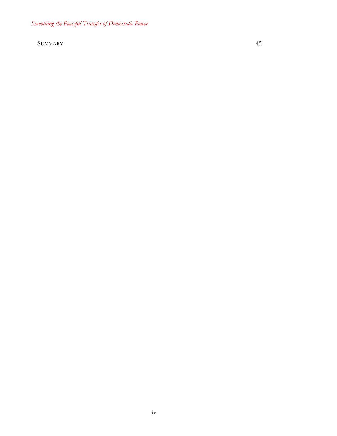*Smoothing the Peaceful Transfer of Democratic Power*

[SUMMARY](#page-50-1) 45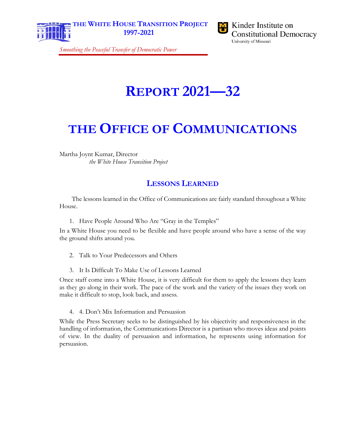**THE WHITE HOUSE TRANSITION PROJECT 1997-2021**



Kinder Institute on **Constitutional Democracy** University of Missouri

*Smoothing the Peaceful Transfer of Democratic Power*

# **[REPORT 2021—32](#page-0-0)**

## **[THE OFFICE OF COMMUNICATIONS](#page-0-0)**

[Martha Joynt Kumar, Director](#page-0-1) *[the White House Transition Project](#page-0-1)*

## <span id="page-4-0"></span>**LESSONS LEARNED**

The lessons learned in the Office of Communications are fairly standard throughout a White House.

1. Have People Around Who Are "Gray in the Temples"

In a White House you need to be flexible and have people around who have a sense of the way the ground shifts around you.

- 2. Talk to Your Predecessors and Others
- 3. It Is Difficult To Make Use of Lessons Learned

Once staff come into a White House, it is very difficult for them to apply the lessons they learn as they go along in their work. The pace of the work and the variety of the issues they work on make it difficult to stop, look back, and assess.

4. 4. Don't Mix Information and Persuasion

While the Press Secretary seeks to be distinguished by his objectivity and responsiveness in the handling of information, the Communications Director is a partisan who moves ideas and points of view. In the duality of persuasion and information, he represents using information for persuasion.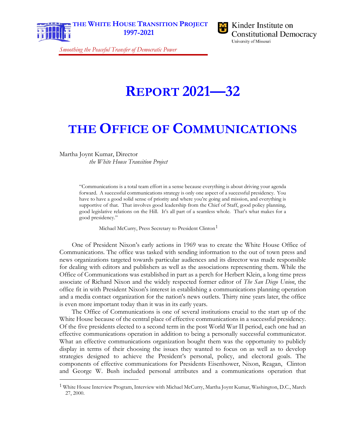**THE WHITE HOUSE TRANSITION PROJECT 1997-2021**



Kinder Institute on **Constitutional Democracy** University of Missouri

*Smoothing the Peaceful Transfer of Democratic Power*

## **[REPORT 2021—32](#page-0-0)**

## **[THE OFFICE OF COMMUNICATIONS](#page-0-0)**

[Martha Joynt Kumar, Director](#page-0-1) *[the White House Transition Project](#page-0-1)*

> "Communications is a total team effort in a sense because everything is about driving your agenda forward. A successful communications strategy is only one aspect of a successful presidency. You have to have a good solid sense of priority and where you're going and mission, and everything is supportive of that. That involves good leadership from the Chief of Staff, good policy planning, good legislative relations on the Hill. It's all part of a seamless whole. That's what makes for a good presidency."

Michael McCurry, Press Secretary to President Clinton<sup>[1](#page-6-0)</sup>

One of President Nixon's early actions in 1969 was to create the White House Office of Communications. The office was tasked with sending information to the out of town press and news organizations targeted towards particular audiences and its director was made responsible for dealing with editors and publishers as well as the associations representing them. While the Office of Communications was established in part as a perch for Herbert Klein, a long time press associate of Richard Nixon and the widely respected former editor of *The San Diego Union*, the office fit in with President Nixon's interest in establishing a communications planning operation and a media contact organization for the nation's news outlets. Thirty nine years later, the office is even more important today than it was in its early years.

The Office of Communications is one of several institutions crucial to the start up of the White House because of the central place of effective communications in a successful presidency. Of the five presidents elected to a second term in the post World War II period, each one had an effective communications operation in addition to being a personally successful communicator. What an effective communications organization bought them was the opportunity to publicly display in terms of their choosing the issues they wanted to focus on as well as to develop strategies designed to achieve the President's personal, policy, and electoral goals. The components of effective communications for Presidents Eisenhower, Nixon, Reagan, Clinton and George W. Bush included personal attributes and a communications operation that

<span id="page-6-0"></span> <sup>1</sup> White House Interview Program, Interview with Michael McCurry, Martha Joynt Kumar, Washington, D.C., March 27, 2000.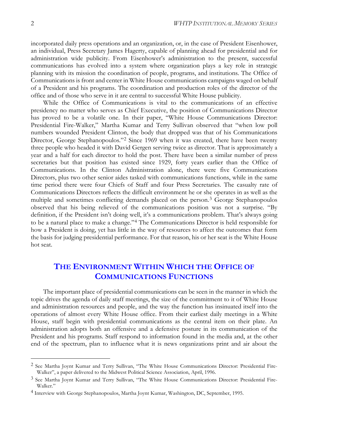incorporated daily press operations and an organization, or, in the case of President Eisenhower, an individual, Press Secretary James Hagerty, capable of planning ahead for presidential and for administration wide publicity. From Eisenhower's administration to the present, successful communications has evolved into a system where organization plays a key role in strategic planning with its mission the coordination of people, programs, and institutions. The Office of Communications is front and center in White House communications campaigns waged on behalf of a President and his programs. The coordination and production roles of the director of the office and of those who serve in it are central to successful White House publicity.

While the Office of Communications is vital to the communications of an effective presidency no matter who serves as Chief Executive, the position of Communications Director has proved to be a volatile one. In their paper, "White House Communications Director: Presidential Fire-Walker," Martha Kumar and Terry Sullivan observed that "when low poll numbers wounded President Clinton, the body that dropped was that of his Communications Director, George Stephanopoulos."<sup>[2](#page-7-1)</sup> Since 1969 when it was created, there have been twenty three people who headed it with David Gergen serving twice as director. That is approximately a year and a half for each director to hold the post. There have been a similar number of press secretaries but that position has existed since 1929, forty years earlier than the Office of Communications. In the Clinton Administration alone, there were five Communications Directors, plus two other senior aides tasked with communications functions, while in the same time period there were four Chiefs of Staff and four Press Secretaries. The casualty rate of Communications Directors reflects the difficult environment he or she operates in as well as the multiple and sometimes conflicting demands placed on the person.<sup>[3](#page-7-2)</sup> George Stephanopoulos observed that his being relieved of the communications position was not a surprise. "By definition, if the President isn't doing well, it's a communications problem. That's always going to be a natural place to make a change."[4](#page-7-3) The Communications Director is held responsible for how a President is doing, yet has little in the way of resources to affect the outcomes that form the basis for judging presidential performance. For that reason, his or her seat is the White House hot seat.

## <span id="page-7-0"></span>**THE ENVIRONMENT WITHIN WHICH THE OFFICE OF COMMUNICATIONS FUNCTIONS**

The important place of presidential communications can be seen in the manner in which the topic drives the agenda of daily staff meetings, the size of the commitment to it of White House and administration resources and people, and the way the function has insinuated itself into the operations of almost every White House office. From their earliest daily meetings in a White House, staff begin with presidential communications as the central item on their plate. An administration adopts both an offensive and a defensive posture in its communication of the President and his programs. Staff respond to information found in the media and, at the other end of the spectrum, plan to influence what it is news organizations print and air about the

<span id="page-7-1"></span> <sup>2</sup> See Martha Joynt Kumar and Terry Sullivan, "The White House Communications Director: Presidential Fire-Walker", a paper delivered to the Midwest Political Science Association, April, 1996.

<span id="page-7-2"></span><sup>3</sup> See Martha Joynt Kumar and Terry Sullivan, "The White House Communications Director: Presidential Fire-Walker."

<span id="page-7-3"></span><sup>4</sup> Interview with George Stephanopoulos, Martha Joynt Kumar, Washington, DC, September, 1995.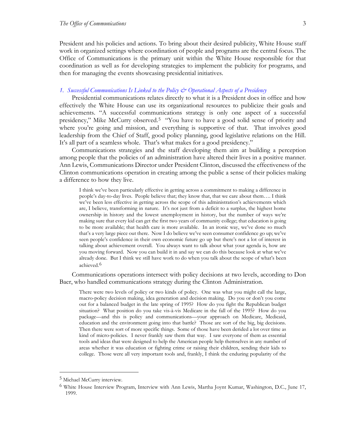President and his policies and actions. To bring about their desired publicity, White House staff work in organized settings where coordination of people and programs are the central focus. The Office of Communications is the primary unit within the White House responsible for that coordination as well as for developing strategies to implement the publicity for programs, and then for managing the events showcasing presidential initiatives.

## <span id="page-8-0"></span>*1. Successful Communications Is Linked to the Policy & Operational Aspects of a Presidency*

Presidential communications relates directly to what it is a President does in office and how effectively the White House can use its organizational resources to publicize their goals and achievements. "A successful communications strategy is only one aspect of a successful presidency," Mike McCurry observed.[5](#page-8-1) "You have to have a good solid sense of priority and where you're going and mission, and everything is supportive of that. That involves good leadership from the Chief of Staff, good policy planning, good legislative relations on the Hill. It's all part of a seamless whole. That's what makes for a good presidency."

Communications strategies and the staff developing them aim at building a perception among people that the policies of an administration have altered their lives in a positive manner. Ann Lewis, Communications Director under President Clinton, discussed the effectiveness of the Clinton communications operation in creating among the public a sense of their policies making a difference to how they live.

I think we've been particularly effective in getting across a commitment to making a difference in people's day-to-day lives. People believe that; they know that, that we care about them…. I think we've been less effective in getting across the scope of this administration's achievements which are, I believe, transforming in nature. It's not just from a deficit to a surplus, the highest home ownership in history and the lowest unemployment in history, but the number of ways we're making sure that every kid can get the first two years of community college; that education is going to be more available; that health care is more available. In an ironic way, we've done so much that's a very large piece out there. Now I do believe we've seen consumer confidence go up; we've seen people's confidence in their own economic future go up but there's not a lot of interest in talking about achievement overall. You always want to talk about what your agenda is, how are you moving forward. Now you can build it in and say we can do this because look at what we've already done. But I think we still have work to do when you talk about the scope of what's been achieved.[6](#page-8-2) 

Communications operations intersect with policy decisions at two levels, according to Don Baer, who handled communications strategy during the Clinton Administration.

There were two levels of policy or two kinds of policy. One was what you might call the large, macro-policy decision making, idea generation and decision making. Do you or don't you come out for a balanced budget in the late spring of 1995? How do you fight the Republican budget situation? What position do you take vis-à-vis Medicare in the fall of the 1995? How do you package—and this is policy and communications—your approach on Medicare, Medicaid, education and the environment going into that battle? Those are sort of the big, big decisions. Then there were sort of more specific things. Some of those have been derided a lot over time as kind of micro-policies. I never frankly saw them that way. I saw everyone of them as essential tools and ideas that were designed to help the American people help themselves in any number of areas whether it was education or fighting crime or raising their children, sending their kids to college. Those were all very important tools and, frankly, I think the enduring popularity of the

<span id="page-8-1"></span> <sup>5</sup> Michael McCurry interview.

<span id="page-8-2"></span><sup>6</sup> White House Interview Program, Interview with Ann Lewis, Martha Joynt Kumar, Washington, D.C., June 17, 1999.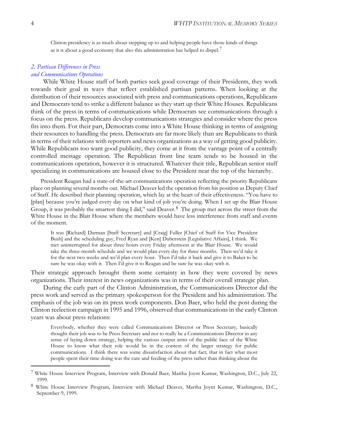Clinton presidency is as much about stepping up to and helping people have those kinds of things as it is about a good economy that also this administration has helped to dispel.[7](#page-9-1)

## <span id="page-9-0"></span>*2. Partisan Differences in Press*

## *and Communications Operations*

While White House staff of both parties seek good coverage of their Presidents, they work towards their goal in ways that reflect established partisan patterns. When looking at the distribution of their resources associated with press and communications operations, Republicans and Democrats tend to strike a different balance as they start up their White Houses. Republicans think of the press in terms of communications while Democrats see communications through a focus on the press. Republicans develop communications strategies and consider where the press fits into them. For their part, Democrats come into a White House thinking in terms of assigning their resources to handling the press. Democrats are far more likely than are Republicans to think in terms of their relations with reporters and news organizations as a way of getting good publicity. While Republicans too want good publicity, they come at it from the vantage point of a centrally controlled message operation. The Republican front line team tends to be housed in the communications operation, however it is structured. Whatever their title, Republican senior staff specializing in communications are housed close to the President near the top of the hierarchy.

President Reagan had a state-of-the-art communications operation reflecting the priority Republicans place on planning several months out. Michael Deaver led the operation from his position as Deputy Chief of Staff. He described their planning operation, which lay at the heart of their effectiveness. "You have to [plan] because you're judged every day on what kind of job you're doing. When I set up the Blair House Group, it was probably the smartest thing I did," said Deaver.[8](#page-9-2) The group met across the street from the White House in the Blair House where the members would have less interference from staff and events of the moment.

It was [Richard] Darman [Staff Secretary] and [Craig] Fuller [Chief of Staff for Vice President Bush] and the scheduling guy, Fred Ryan and [Ken] Duberstein [Legislative Affairs], I think. We met uninterrupted for about three hours every Friday afternoon at the Blair House. We would take the three-month schedule and we would plan every day for three months. Then we'd take it for the next two weeks and we'd plan every hour. Then I'd take it back and give it to Baker to be sure he was okay with it. Then I'd give it to Reagan and be sure he was okay with it.

Their strategic approach brought them some certainty in how they were covered by news organizations. Their interest in news organizations was in terms of their overall strategic plan.

During the early part of the Clinton Administration, the Communications Director did the press work and served as the primary spokesperson for the President and his administration. The emphasis of the job was on its press work components. Don Baer, who held the post during the Clinton reelection campaign in 1995 and 1996, observed that communications in the early Clinton years was about press relations:

Everybody, whether they were called Communications Director or Press Secretary, basically thought their job was to be Press Secretary and not to really be a Communications Director in any sense of laying down strategy, helping the various output arms of the public face of the White House to know what their role would be in the context of the larger strategy for public communications. I think there was some dissatisfaction about that fact; that in fact what most people spent their time doing was the care and feeding of the press rather than thinking about the

<span id="page-9-1"></span> <sup>7</sup> White House Interview Program, Interview with Donald Baer, Martha Joynt Kumar, Washington, D.C., July 22, 1999.

<span id="page-9-2"></span><sup>8</sup> White House Interview Program, Interview with Michael Deaver, Martha Joynt Kumar, Washington, D.C., September 9, 1999.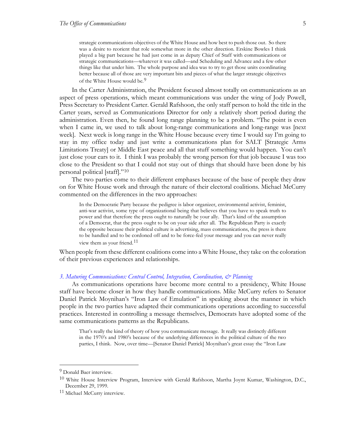strategic communications objectives of the White House and how best to push those out. So there was a desire to reorient that role somewhat more in the other direction. Erskine Bowles I think played a big part because he had just come in as deputy Chief of Staff with communications or strategic communications—whatever it was called—and Scheduling and Advance and a few other things like that under him. The whole purpose and idea was to try to get those units coordinating better because all of those are very important bits and pieces of what the larger strategic objectives of the White House would be.<sup>[9](#page-10-1)</sup>

In the Carter Administration, the President focused almost totally on communications as an aspect of press operations, which meant communications was under the wing of Jody Powell, Press Secretary to President Carter. Gerald Rafshoon, the only staff person to hold the title in the Carter years, served as Communications Director for only a relatively short period during the administration. Even then, he found long range planning to be a problem. "The point is even when I came in, we used to talk about long-range communications and long-range was [next week]. Next week is long range in the White House because every time I would say I'm going to stay in my office today and just write a communications plan for SALT [Strategic Arms Limitations Treaty] or Middle East peace and all that stuff something would happen. You can't just close your ears to it. I think I was probably the wrong person for that job because I was too close to the President so that I could not stay out of things that should have been done by his personal political [staff]."[10](#page-10-2)

The two parties come to their different emphases because of the base of people they draw on for White House work and through the nature of their electoral coalitions. Michael McCurry commented on the differences in the two approaches:

In the Democratic Party because the pedigree is labor organizer, environmental activist, feminist, anti-war activist, some type of organizational being that believes that you have to speak truth to power and that therefore the press ought to naturally be your ally. That's kind of the assumption of a Democrat, that the press ought to be on your side after all. The Republican Party is exactly the opposite because their political culture is advertising, mass communications, the press is there to be handled and to be cordoned off and to be force-fed your message and you can never really view them as your friend.<sup>[11](#page-10-3)</sup>

When people from these different coalitions come into a White House, they take on the coloration of their previous experiences and relationships.

## <span id="page-10-0"></span>*3. Maturing Communications: Central Control, Integration, Coordination, & Planning*

As communications operations have become more central to a presidency, White House staff have become closer in how they handle communications. Mike McCurry refers to Senator Daniel Patrick Moynihan's "Iron Law of Emulation" in speaking about the manner in which people in the two parties have adapted their communications operations according to successful practices. Interested in controlling a message themselves, Democrats have adopted some of the same communications patterns as the Republicans.

That's really the kind of theory of how you communicate message. It really was distinctly different in the 1970's and 1980's because of the underlying differences in the political culture of the two parties, I think. Now, over time—[Senator Daniel Patrick] Moynihan's great essay the "Iron Law

<span id="page-10-2"></span><span id="page-10-1"></span> <sup>9</sup> Donald Baer interview.

<sup>&</sup>lt;sup>10</sup> White House Interview Program, Interview with Gerald Rafshoon, Martha Joynt Kumar, Washington, D.C., December 29, 1999.

<span id="page-10-3"></span><sup>11</sup> Michael McCurry interview.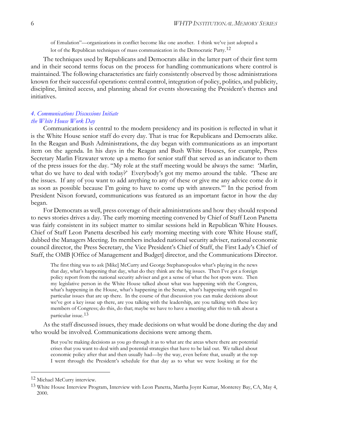of Emulation"—organizations in conflict become like one another. I think we've just adopted a lot of the Republican techniques of mass communication in the Democratic Party.[12](#page-11-1)

The techniques used by Republicans and Democrats alike in the latter part of their first term and in their second terms focus on the process for handling communications where control is maintained. The following characteristics are fairly consistently observed by those administrations known for their successful operations: central control, integration of policy, politics, and publicity, discipline, limited access, and planning ahead for events showcasing the President's themes and initiatives.

## <span id="page-11-0"></span>*4. Communications Discussions Initiate the White House Work Day*

Communications is central to the modern presidency and its position is reflected in what it is the White House senior staff do every day. That is true for Republicans and Democrats alike. In the Reagan and Bush Administrations, the day began with communications as an important item on the agenda. In his days in the Reagan and Bush White Houses, for example, Press Secretary Marlin Fitzwater wrote up a memo for senior staff that served as an indicator to them of the press issues for the day. "My role at the staff meeting would be always the same: 'Marlin, what do we have to deal with today?' Everybody's got my memo around the table. 'These are the issues. If any of you want to add anything to any of these or give me any advice come do it as soon as possible because I'm going to have to come up with answers.'" In the period from President Nixon forward, communications was featured as an important factor in how the day began.

For Democrats as well, press coverage of their administrations and how they should respond to news stories drives a day. The early morning meeting convened by Chief of Staff Leon Panetta was fairly consistent in its subject matter to similar sessions held in Republican White Houses. Chief of Staff Leon Panetta described his early morning meeting with core White House staff, dubbed the Managers Meeting. Its members included national security adviser, national economic council director, the Press Secretary, the Vice President's Chief of Staff, the First Lady's Chief of Staff, the OMB [Office of Management and Budget] director, and the Communications Director.

The first thing was to ask [Mike] McCurry and George Stephanopoulos what's playing in the news that day, what's happening that day, what do they think are the big issues. Then I've got a foreign policy report from the national security adviser and got a sense of what the hot spots were. Then my legislative person in the White House talked about what was happening with the Congress, what's happening in the House, what's happening in the Senate, what's happening with regard to particular issues that are up there. In the course of that discussion you can make decisions about we've got a key issue up there, are you talking with the leadership, are you talking with these key members of Congress; do this, do that; maybe we have to have a meeting after this to talk about a particular issue.[13](#page-11-2) 

As the staff discussed issues, they made decisions on what would be done during the day and who would be involved. Communications decisions were among them.

But you're making decisions as you go through it as to what are the areas where there are potential crises that you want to deal with and potential strategies that have to be laid out. We talked about economic policy after that and then usually had—by the way, even before that, usually at the top I went through the President's schedule for that day as to what we were looking at for the

<span id="page-11-1"></span> <sup>12</sup> Michael McCurry interview.

<span id="page-11-2"></span><sup>13</sup> White House Interview Program, Interview with Leon Panetta, Martha Joynt Kumar, Monterey Bay, CA, May 4, 2000.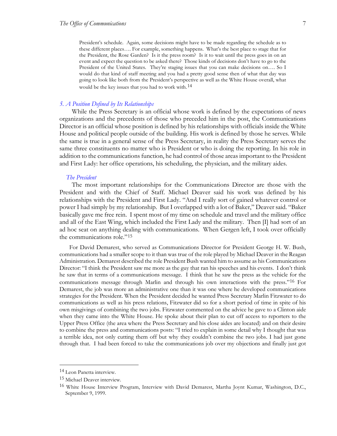President's schedule. Again, some decisions might have to be made regarding the schedule as to these different places…. For example, something happens. What's the best place to stage that for the President, the Rose Garden? Is it the press room? Is it to wait until the press goes in on an event and expect the question to be asked there? Those kinds of decisions don't have to go to the President of the United States. They're staging issues that you can make decisions on…. So I would do that kind of staff meeting and you had a pretty good sense then of what that day was going to look like both from the President's perspective as well as the White House overall, what would be the key issues that you had to work with.[14](#page-12-1) 

## <span id="page-12-0"></span>*5. A Position Defined by Its Relationships*

While the Press Secretary is an official whose work is defined by the expectations of news organizations and the precedents of those who preceded him in the post, the Communications Director is an official whose position is defined by his relationships with officials inside the White House and political people outside of the building. His work is defined by those he serves. While the same is true in a general sense of the Press Secretary, in reality the Press Secretary serves the same three constituents no matter who is President or who is doing the reporting. In his role in addition to the communications function, he had control of those areas important to the President and First Lady: her office operations, his scheduling, the physician, and the military aides.

#### *The President*

The most important relationships for the Communications Director are those with the President and with the Chief of Staff. Michael Deaver said his work was defined by his relationships with the President and First Lady. "And I really sort of gained whatever control or power I had simply by my relationship. But I overlapped with a lot of Baker," Deaver said. "Baker basically gave me free rein. I spent most of my time on schedule and travel and the military office and all of the East Wing, which included the First Lady and the military. Then [I] had sort of an ad hoc seat on anything dealing with communications. When Gergen left, I took over officially the communications role."[15](#page-12-2)

For David Demarest, who served as Communications Director for President George H. W. Bush, communications had a smaller scope to it than was true of the role played by Michael Deaver in the Reagan Administration. Demarest described the role President Bush wanted him to assume as his Communications Director: "I think the President saw me more as the guy that ran his speeches and his events. I don't think he saw that in terms of a communications message. I think that he saw the press as the vehicle for the communications message through Marlin and through his own interactions with the press."[16](#page-12-3) For Demarest, the job was more an administrative one than it was one where he developed communications strategies for the President. When the President decided he wanted Press Secretary Marlin Fitzwater to do communications as well as his press relations, Fitzwater did so for a short period of time in spite of his own misgivings of combining the two jobs. Fitzwater commented on the advice he gave to a Clinton aide when they came into the White House. He spoke about their plan to cut off access to reporters to the Upper Press Office (the area where the Press Secretary and his close aides are located) and on their desire to combine the press and communications posts: "I tried to explain in some detail why I thought that was a terrible idea, not only cutting them off but why they couldn't combine the two jobs. I had just gone through that. I had been forced to take the communications job over my objections and finally just got

<span id="page-12-1"></span> <sup>14</sup> Leon Panetta interview.

<span id="page-12-2"></span><sup>&</sup>lt;sup>15</sup> Michael Deaver interview.

<span id="page-12-3"></span><sup>16</sup> White House Interview Program, Interview with David Demarest, Martha Joynt Kumar, Washington, D.C., September 9, 1999.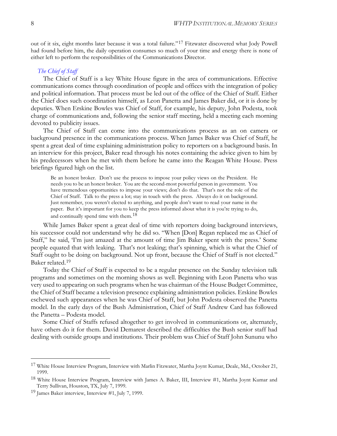out of it six, eight months later because it was a total failure."[17](#page-13-0) Fitzwater discovered what Jody Powell had found before him, the daily operation consumes so much of your time and energy there is none of either left to perform the responsibilities of the Communications Director.

#### *The Chief of Staff*

The Chief of Staff is a key White House figure in the area of communications. Effective communications comes through coordination of people and offices with the integration of policy and political information. That process must be led out of the office of the Chief of Staff. Either the Chief does such coordination himself, as Leon Panetta and James Baker did, or it is done by deputies. When Erskine Bowles was Chief of Staff, for example, his deputy, John Podesta, took charge of communications and, following the senior staff meeting, held a meeting each morning devoted to publicity issues.

The Chief of Staff can come into the communications process as an on camera or background presence in the communications process. When James Baker was Chief of Staff, he spent a great deal of time explaining administration policy to reporters on a background basis. In an interview for this project, Baker read through his notes containing the advice given to him by his predecessors when he met with them before he came into the Reagan White House. Press briefings figured high on the list.

Be an honest broker. Don't use the process to impose your policy views on the President. He needs you to be an honest broker. You are the second-most powerful person in government. You have tremendous opportunities to impose your views; don't do that. That's not the role of the Chief of Staff. Talk to the press a lot; stay in touch with the press. Always do it on background. Just remember, you weren't elected to anything, and people don't want to read your name in the paper. But it's important for you to keep the press informed about what it is you're trying to do, and continually spend time with them.[18](#page-13-1)

While James Baker spent a great deal of time with reporters doing background interviews, his successor could not understand why he did so. "When [Don] Regan replaced me as Chief of Staff," he said, 'I'm just amazed at the amount of time Jim Baker spent with the press.' Some people equated that with leaking. That's not leaking; that's spinning, which is what the Chief of Staff ought to be doing on background. Not up front, because the Chief of Staff is not elected." Baker related.[19](#page-13-2)

Today the Chief of Staff is expected to be a regular presence on the Sunday television talk programs and sometimes on the morning shows as well. Beginning with Leon Panetta who was very used to appearing on such programs when he was chairman of the House Budget Committee, the Chief of Staff became a television presence explaining administration policies. Erskine Bowles eschewed such appearances when he was Chief of Staff, but John Podesta observed the Panetta model. In the early days of the Bush Administration, Chief of Staff Andrew Card has followed the Panetta – Podesta model.

Some Chief of Staffs refused altogether to get involved in communications or, alternately, have others do it for them. David Demarest described the difficulties the Bush senior staff had dealing with outside groups and institutions. Their problem was Chief of Staff John Sununu who

<span id="page-13-0"></span> <sup>17</sup> White House Interview Program, Interview with Marlin Fitzwater, Martha Joynt Kumar, Deale, Md., October 21, 1999.

<span id="page-13-1"></span><sup>&</sup>lt;sup>18</sup> White House Interview Program, Interview with James A. Baker, III, Interview #1, Martha Joynt Kumar and Terry Sullivan, Houston, TX, July 7, 1999.

<span id="page-13-2"></span><sup>19</sup> James Baker interview, Interview #1, July 7, 1999.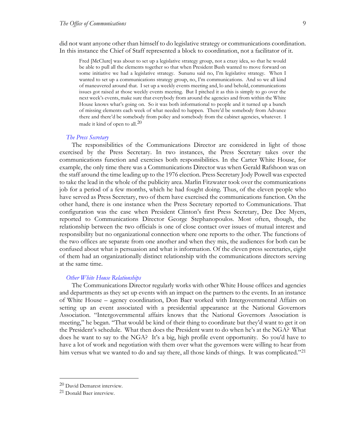did not want anyone other than himself to do legislative strategy or communications coordination. In this instance the Chief of Staff represented a block to coordination, not a facilitator of it.

Fred [McClure] was about to set up a legislative strategy group, not a crazy idea, so that he would be able to pull all the elements together so that when President Bush wanted to move forward on some initiative we had a legislative strategy. Sununu said no, I'm legislative strategy. When I wanted to set up a communications strategy group, no, I'm communications. And so we all kind of maneuvered around that. I set up a weekly events meeting and, lo and behold, communications issues got raised at those weekly events meeting. But I pitched it as this is simply to go over the next week's events, make sure that everybody from around the agencies and from within the White House knows what's going on. So it was both informational to people and it turned up a bunch of missing elements each week of what needed to happen. There'd be somebody from Advance there and there'd be somebody from policy and somebody from the cabinet agencies, whatever. I made it kind of open to all.[20](#page-14-0)

#### *The Press Secretary*

The responsibilities of the Communications Director are considered in light of those exercised by the Press Secretary. In two instances, the Press Secretary takes over the communications function and exercises both responsibilities. In the Carter White House, for example, the only time there was a Communications Director was when Gerald Rafshoon was on the staff around the time leading up to the 1976 election. Press Secretary Jody Powell was expected to take the lead in the whole of the publicity area. Marlin Fitzwater took over the communications job for a period of a few months, which he had fought doing. Thus, of the eleven people who have served as Press Secretary, two of them have exercised the communications function. On the other hand, there is one instance when the Press Secretary reported to Communications. That configuration was the case when President Clinton's first Press Secretary, Dee Dee Myers, reported to Communications Director George Stephanopoulos. Most often, though, the relationship between the two officials is one of close contact over issues of mutual interest and responsibility but no organizational connection where one reports to the other. The functions of the two offices are separate from one another and when they mix, the audiences for both can be confused about what is persuasion and what is information. Of the eleven press secretaries, eight of them had an organizationally distinct relationship with the communications directors serving at the same time.

#### *Other White House Relationships*

The Communications Director regularly works with other White House offices and agencies and departments as they set up events with an impact on the partners to the events. In an instance of White House – agency coordination, Don Baer worked with Intergovernmental Affairs on setting up an event associated with a presidential appearance at the National Governors Association. "Intergovernmental affairs knows that the National Governors Association is meeting," he began. "That would be kind of their thing to coordinate but they'd want to get it on the President's schedule. What then does the President want to do when he's at the NGA? What does he want to say to the NGA? It's a big, high profile event opportunity. So you'd have to have a lot of work and negotiation with them over what the governors were willing to hear from him versus what we wanted to do and say there, all those kinds of things. It was complicated."<sup>21</sup>

<span id="page-14-0"></span> <sup>20</sup> David Demarest interview.

<span id="page-14-1"></span><sup>21</sup> Donald Baer interview.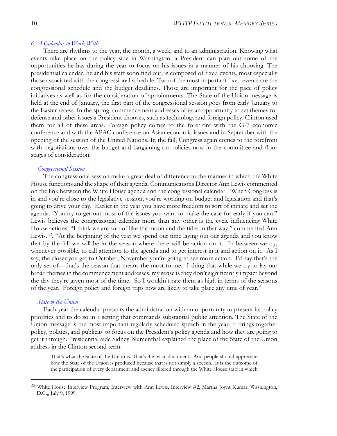#### <span id="page-15-0"></span>*6. A Calendar to Work With*

There are rhythms to the year, the month, a week, and to an administration. Knowing what events take place on the policy side in Washington, a President can plan out some of the opportunities he has during the year to focus on his issues in a manner of his choosing. The presidential calendar, he and his staff soon find out, is composed of fixed events, most especially those associated with the congressional schedule. Two of the most important fixed events are the congressional schedule and the budget deadlines. Those are important for the pace of policy initiatives as well as for the consideration of appointments. The State of the Union message is held at the end of January, the first part of the congressional session goes from early January to the Easter recess. In the spring, commencement addresses offer an opportunity to set themes for defense and other issues a President chooses, such as technology and foreign policy. Clinton used them for all of these areas. Foreign policy comes to the forefront with the G-7 economic conference and with the APAC conference on Asian economic issues and in September with the opening of the session of the United Nations. In the fall, Congress again comes to the forefront with negotiations over the budget and bargaining on policies now in the committee and floor stages of consideration.

#### *Congressional Session*

The congressional session make a great deal of difference to the manner in which the White House functions and the shape of their agenda. Communications Director Ann Lewis commented on the link between the White House agenda and the congressional calendar. "When Congress is in and you're close to the legislative session, you're working on budget and legislation and that's going to drive your day. Earlier in the year you have more freedom to sort of initiate and set the agenda. You try to get out most of the issues you want to make the case for early if you can." Lewis believes the congressional calendar more than any other is the cycle influencing White House actions. "I think we are sort of like the moon and the tides in that way," commented Ann Lewis.[22.](#page-15-1) "At the beginning of the year we spend our time laying out our agenda and you know that by the fall we will be in the season where there will be action on it. In between we try, whenever possible, to call attention to the agenda and to get interest in it and action on it. As I say, the closer you get to October, November you're going to see more action. I'd say that's the only set of—that's the season that means the most to me. I thing that while we try to lay our broad themes in the commencement addresses, my sense is they don't significantly impact beyond the day they're given most of the time. So I wouldn't rate them as high in terms of the seasons of the year. Foreign policy and foreign trips now are likely to take place any time of year."

#### *State of the Union*

Each year the calendar presents the administration with an opportunity to present its policy priorities and to do so in a setting that commands substantial public attention. The State of the Union message is the most important regularly scheduled speech in the year. It brings together policy, politics, and publicity to focus on the President's policy agenda and how they are going to get it through. Presidential aide Sidney Blumenthal explained the place of the State of the Union address in the Clinton second term.

That's what the State of the Union is. That's the basic document. And people should appreciate how the State of the Union is produced because that is not simply a speech. It is the outcome of the participation of every department and agency filtered through the White House staff in which

<span id="page-15-1"></span> <sup>22</sup> White House Interview Program, Interview with Ann Lewis, Interview #2, Martha Joynt Kumar, Washington, D.C.,, July 9, 1999.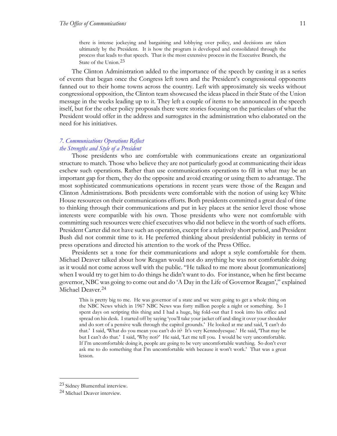there is intense jockeying and bargaining and lobbying over policy, and decisions are taken ultimately by the President. It is how the program is developed and consolidated through the process that leads to that speech. That is the most extensive process in the Executive Branch, the State of the Union.[23](#page-16-1)

The Clinton Administration added to the importance of the speech by casting it as a series of events that began once the Congress left town and the President's congressional opponents fanned out to their home towns across the country. Left with approximately six weeks without congressional opposition, the Clinton team showcased the ideas placed in their State of the Union message in the weeks leading up to it. They left a couple of items to be announced in the speech itself, but for the other policy proposals there were stories focusing on the particulars of what the President would offer in the address and surrogates in the administration who elaborated on the need for his initiatives.

## <span id="page-16-0"></span>*7. Communications Operations Reflect the Strengths and Style of a President*

Those presidents who are comfortable with communications create an organizational structure to match. Those who believe they are not particularly good at communicating their ideas eschew such operations. Rather than use communications operations to fill in what may be an important gap for them, they do the opposite and avoid creating or using them to advantage. The most sophisticated communications operations in recent years were those of the Reagan and Clinton Administrations. Both presidents were comfortable with the notion of using key White House resources on their communications efforts. Both presidents committed a great deal of time to thinking through their communications and put in key places at the senior level those whose interests were compatible with his own. Those presidents who were not comfortable with committing such resources were chief executives who did not believe in the worth of such efforts. President Carter did not have such an operation, except for a relatively short period, and President Bush did not commit time to it. He preferred thinking about presidential publicity in terms of press operations and directed his attention to the work of the Press Office.

Presidents set a tone for their communications and adopt a style comfortable for them. Michael Deaver talked about how Reagan would not do anything he was not comfortable doing as it would not come across well with the public. "He talked to me more about [communications] when I would try to get him to do things he didn't want to do. For instance, when he first became governor, NBC was going to come out and do 'A Day in the Life of Governor Reagan'," explained Michael Deaver.<sup>24</sup>

This is pretty big to me. He was governor of a state and we were going to get a whole thing on the NBC News which in 1967 NBC News was forty million people a night or something. So I spent days on scripting this thing and I had a huge, big fold-out that I took into his office and spread on his desk. I started off by saying 'you'll take your jacket off and sling it over your shoulder and do sort of a pensive walk through the capitol grounds.' He looked at me and said, 'I can't do that.' I said, 'What do you mean you can't do it? It's very Kennedyesque.' He said, 'That may be but I can't do that.' I said, 'Why not?' He said, 'Let me tell you. I would be very uncomfortable. If I'm uncomfortable doing it, people are going to be very uncomfortable watching. So don't ever ask me to do something that I'm uncomfortable with because it won't work.' That was a great lesson.

<span id="page-16-1"></span> <sup>23</sup> Sidney Blumenthal interview.

<span id="page-16-2"></span><sup>24</sup> Michael Deaver interview.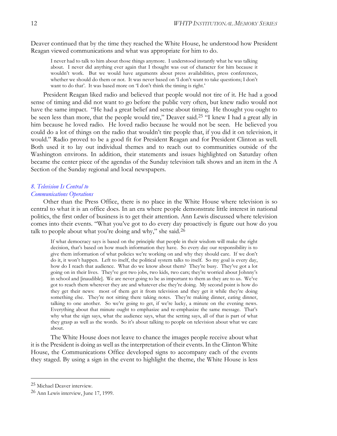Deaver continued that by the time they reached the White House, he understood how President Reagan viewed communications and what was appropriate for him to do.

I never had to talk to him about those things anymore. I understood instantly what he was talking about. I never did anything ever again that I thought was out of character for him because it wouldn't work. But we would have arguments about press availabilities, press conferences, whether we should do them or not. It was never based on 'I don't want to take questions; I don't want to do that'. It was based more on 'I don't think the timing is right.'

President Reagan liked radio and believed that people would not tire of it. He had a good sense of timing and did not want to go before the public very often, but knew radio would not have the same impact. "He had a great belief and sense about timing. He thought you ought to be seen less than more, that the people would tire," Deaver said[.25](#page-17-1) "I knew I had a great ally in him because he loved radio. He loved radio because he would not be seen. He believed you could do a lot of things on the radio that wouldn't tire people that, if you did it on television, it would." Radio proved to be a good fit for President Reagan and for President Clinton as well. Both used it to lay out individual themes and to reach out to communities outside of the Washington environs. In addition, their statements and issues highlighted on Saturday often became the center piece of the agendas of the Sunday television talk shows and an item in the A Section of the Sunday regional and local newspapers.

## <span id="page-17-0"></span>*8. Television Is Central to Communications Operations*

Other than the Press Office, there is no place in the White House where television is so central to what it is an office does. In an era where people demonstrate little interest in national politics, the first order of business is to get their attention. Ann Lewis discussed where television comes into their events. "What you've got to do every day proactively is figure out how do you talk to people about what you're doing and why," she said.<sup>26</sup>

If what democracy says is based on the principle that people in their wisdom will make the right decision, that's based on how much information they have. So every day our responsibility is to give them information of what policies we're working on and why they should care. If we don't do it, it won't happen. Left to itself, the political system talks to itself. So my goal is every day, how do I reach that audience. What do we know about them? They're busy. They've got a lot going on in their lives. They've got two jobs, two kids, two cars; they're worried about Johnny's in school and [inaudible]. We are never going to be as important to them as they are to us. We've got to reach them wherever they are and whatever else they're doing. My second point is how do they get their news: most of them get it from television and they get it while they're doing something else. They're not sitting there taking notes. They're making dinner, eating dinner, talking to one another. So we're going to get, if we're lucky, a minute on the evening news. Everything about that minute ought to emphasize and re-emphasize the same message. That's why what the sign says, what the audience says, what the setting says, all of that is part of what they grasp as well as the words. So it's about talking to people on television about what we care about.

The White House does not leave to chance the images people receive about what it is the President is doing as well as the interpretation of their events. In the Clinton White House, the Communications Office developed signs to accompany each of the events they staged. By using a sign in the event to highlight the theme, the White House is less

<span id="page-17-1"></span> <sup>25</sup> Michael Deaver interview.

<span id="page-17-2"></span><sup>26</sup> Ann Lewis interview, June 17, 1999.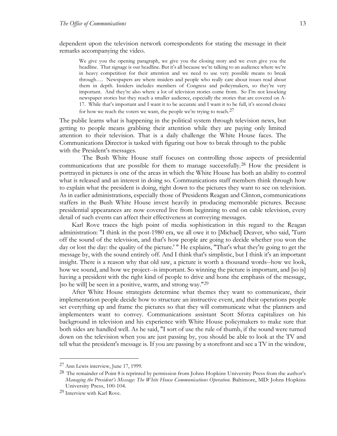dependent upon the television network correspondents for stating the message in their remarks accompanying the video.

We give you the opening paragraph, we give you the closing story and we even give you the headline. That signage is our headline. But it's all because we're talking to an audience where we're in heavy competition for their attention and we need to use very possible means to break through…. Newspapers are where insiders and people who really care about issues read about them in depth. Insiders includes members of Congress and policymakers, so they're very important. And they're also where a lot of television stories come from. So I'm not knocking newspaper stories but they reach a smaller audience, especially the stories that are covered on A-17. While that's important and I want it to be accurate and I want it to be full, it's second choice for how we reach the voters we want, the people we're trying to reach.  $27$ 

The public learns what is happening in the political system through television news, but getting to people means grabbing their attention while they are paying only limited attention to their television. That is a daily challenge the White House faces. The Communications Director is tasked with figuring out how to break through to the public with the President's messages.

 The Bush White House staff focuses on controlling those aspects of presidential communications that are possible for them to manage successfully.[28](#page-18-1) How the president is portrayed in pictures is one of the areas in which the White House has both an ability to control what is released and an interest in doing so. Communications staff members think through how to explain what the president is doing, right down to the pictures they want to see on television. As in earlier administrations, especially those of Presidents Reagan and Clinton, communications staffers in the Bush White House invest heavily in producing memorable pictures. Because presidential appearances are now covered live from beginning to end on cable television, every detail of such events can affect their effectiveness at conveying messages.

Karl Rove traces the high point of media sophistication in this regard to the Reagan administration: "I think in the post-1980 era, we all owe it to [Michael] Deaver, who said, 'Turn off the sound of the television, and that's how people are going to decide whether you won the day or lost the day: the quality of the picture.' " He explains, "That's what they're going to get the message by, with the sound entirely off. And I think that's simplistic, but I think it's an important insight. There is a reason why that old saw, a picture is worth a thousand words--how we look, how we sound, and how we project--is important. So winning the picture is important, and [so is] having a president with the right kind of people to drive and hone the emphasis of the message, [so he will] be seen in a positive, warm, and strong way."[29](#page-18-2)

After White House strategists determine what themes they want to communicate, their implementation people decide how to structure an instructive event, and their operations people set everything up and frame the pictures so that they will communicate what the planners and implementers want to convey. Communications assistant Scott Sforza capitalizes on his background in television and his experience with White House policymakers to make sure that both sides are handled well. As he said, "I sort of use the rule of thumb, if the sound were turned down on the television when you are just passing by, you should be able to look at the TV and tell what the president's message is. If you are passing by a storefront and see a TV in the window,

<span id="page-18-0"></span> <sup>27</sup> Ann Lewis interview, June 17, 1999.

<span id="page-18-1"></span><sup>&</sup>lt;sup>28</sup> The remainder of Point 8 is reprinted by permission from Johns Hopkins University Press from the author's *Managing the President's Message: The White House Communications Operation*. Baltimore, MD: Johns Hopkins University Press, 100-104.

<span id="page-18-2"></span><sup>29</sup> Interview with Karl Rove.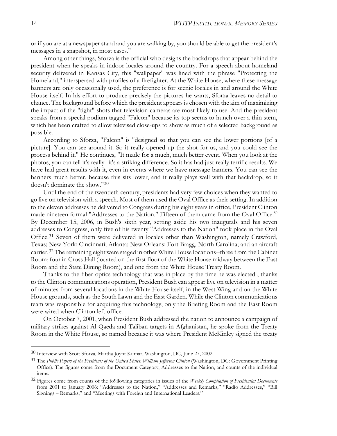or if you are at a newspaper stand and you are walking by, you should be able to get the president's messages in a snapshot, in most cases."

Among other things, Sforza is the official who designs the backdrops that appear behind the president when he speaks in indoor locales around the country. For a speech about homeland security delivered in Kansas City, this "wallpaper" was lined with the phrase "Protecting the Homeland," interspersed with profiles of a firefighter. At the White House, where these message banners are only occasionally used, the preference is for scenic locales in and around the White House itself. In his effort to produce precisely the pictures he wants, Sforza leaves no detail to chance. The background before which the president appears is chosen with the aim of maximizing the impact of the "tight" shots that television cameras are most likely to use. And the president speaks from a special podium tagged "Falcon" because its top seems to hunch over a thin stem, which has been crafted to allow televised close-ups to show as much of a selected background as possible.

According to Sforza, "Falcon" is "designed so that you can see the lower portions [of a picture]. You can see around it. So it really opened up the shot for us, and you could see the process behind it." He continues, "It made for a much, much better event. When you look at the photos, you can tell it's really--it's a striking difference. So it has had just really terrific results. We have had great results with it, even in events where we have message banners. You can see the banners much better, because this sits lower, and it really plays well with that backdrop, so it doesn't dominate the show."[30](#page-19-0)

Until the end of the twentieth century, presidents had very few choices when they wanted to go live on television with a speech. Most of them used the Oval Office as their setting. In addition to the eleven addresses he delivered to Congress during his eight years in office, President Clinton made nineteen formal "Addresses to the Nation." Fifteen of them came from the Oval Office.<sup>50</sup> By December 15, 2006, in Bush's sixth year, setting aside his two inaugurals and his seven addresses to Congress, only five of his twenty "Addresses to the Nation" took place in the Oval Office.[31](#page-19-1) Seven of them were delivered in locales other than Washington, namely Crawford, Texas; New York; Cincinnati; Atlanta; New Orleans; Fort Bragg, North Carolina; and an aircraft carrier.[32](#page-19-2) The remaining eight were staged in other White House locations--three from the Cabinet Room; four in Cross Hall (located on the first floor of the White House midway between the East Room and the State Dining Room), and one from the White House Treaty Room.

Thanks to the fiber-optics technology that was in place by the time he was elected , thanks to the Clinton communications operation, President Bush can appear live on television in a matter of minutes from several locations in the White House itself, in the West Wing and on the White House grounds, such as the South Lawn and the East Garden. While the Clinton communications team was responsible for acquiring this technology, only the Briefing Room and the East Room were wired when Clinton left office.

On October 7, 2001, when President Bush addressed the nation to announce a campaign of military strikes against Al Qaeda and Taliban targets in Afghanistan, he spoke from the Treaty Room in the White House, so named because it was where President McKinley signed the treaty

<span id="page-19-0"></span> <sup>30</sup> Interview with Scott Sforza, Martha Joynt Kumar, Washington, DC, June 27, 2002.

<span id="page-19-1"></span><sup>31</sup> The *Public Papers of the Presidents of the United States, William Jefferson Clinton* (Washington, DC: Government Printing Office). The figures come from the Document Category, Addresses to the Nation, and counts of the individual items.

<span id="page-19-2"></span><sup>32</sup> Figures come from counts of the fo9llowing categories in issues of the *Weekly Compilation of Presidential Documents* from 2001 to January 2006: "Addresses to the Nation," "Addresses and Remarks," "Radio Addresses," "Bill Signings – Remarks," and "Meetings with Foreign and International Leaders."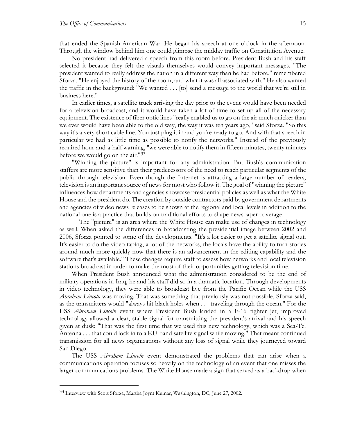that ended the Spanish-American War. He began his speech at one o'clock in the afternoon. Through the window behind him one could glimpse the midday traffic on Constitution Avenue.

No president had delivered a speech from this room before. President Bush and his staff selected it because they felt the visuals themselves would convey important messages. "The president wanted to really address the nation in a different way than he had before," remembered Sforza. "He enjoyed the history of the room, and what it was all associated with." He also wanted the traffic in the background: "We wanted . . . [to] send a message to the world that we're still in business here."

In earlier times, a satellite truck arriving the day prior to the event would have been needed for a television broadcast, and it would have taken a lot of time to set up all of the necessary equipment. The existence of fiber optic lines "really enabled us to go on the air much quicker than we ever would have been able to the old way, the way it was ten years ago," said Sforza. "So this way it's a very short cable line. You just plug it in and you're ready to go. And with that speech in particular we had as little time as possible to notify the networks." Instead of the previously required hour-and-a-half warning, "we were able to notify them in fifteen minutes, twenty minutes before we would go on the air."[33](#page-20-0)

"Winning the picture" is important for any administration. But Bush's communication staffers are more sensitive than their predecessors of the need to reach particular segments of the public through television. Even though the Internet is attracting a large number of readers, television is an important source of news for most who follow it. The goal of "winning the picture" influences how departments and agencies showcase presidential policies as well as what the White House and the president do. The creation by outside contractors paid by government departments and agencies of video news releases to be shown at the regional and local levels in addition to the national one is a practice that builds on traditional efforts to shape newspaper coverage.

The "picture" is an area where the White House can make use of changes in technology as well. When asked the differences in broadcasting the presidential image between 2002 and 2006, Sforza pointed to some of the developments. "It's a lot easier to get a satellite signal out. It's easier to do the video taping, a lot of the networks, the locals have the ability to turn stories around much more quickly now that there is an advancement in the editing capability and the software that's available." These changes require staff to assess how networks and local television stations broadcast in order to make the most of their opportunities getting television time.

When President Bush announced what the administration considered to be the end of military operations in Iraq, he and his staff did so in a dramatic location. Through developments in video technology, they were able to broadcast live from the Pacific Ocean while the USS *Abraham Lincoln* was moving. That was something that previously was not possible, Sforza said, as the transmitters would "always hit black holes when . . . traveling through the ocean." For the USS *Abraham Lincoln* event where President Bush landed in a F-16 fighter jet, improved technology allowed a clear, stable signal for transmitting the president's arrival and his speech given at dusk: "That was the first time that we used this new technology, which was a Sea-Tel Antenna . . . that could lock in to a KU-band satellite signal while moving." That meant continued transmission for all news organizations without any loss of signal while they journeyed toward San Diego.

The USS *Abraham Lincoln* event demonstrated the problems that can arise when a communications operation focuses so heavily on the technology of an event that one misses the larger communications problems. The White House made a sign that served as a backdrop when

<span id="page-20-0"></span> <sup>33</sup> Interview with Scott Sforza, Martha Joynt Kumar, Washington, DC, June 27, 2002.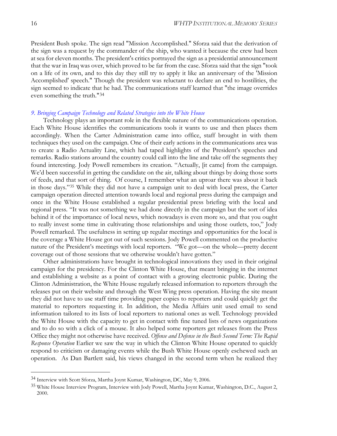President Bush spoke. The sign read "Mission Accomplished." Sforza said that the derivation of the sign was a request by the commander of the ship, who wanted it because the crew had been at sea for eleven months. The president's critics portrayed the sign as a presidential announcement that the war in Iraq was over, which proved to be far from the case. Sforza said that the sign "took on a life of its own, and to this day they still try to apply it like an anniversary of the 'Mission Accomplished' speech." Though the president was reluctant to declare an end to hostilities, the sign seemed to indicate that he had. The communications staff learned that "the image overrides even something the truth."[34](#page-21-1)

## <span id="page-21-0"></span>*9. Bringing Campaign Technology and Related Strategies into the White House*

Technology plays an important role in the flexible nature of the communications operation. Each White House identifies the communications tools it wants to use and then places them accordingly. When the Carter Administration came into office, staff brought in with them techniques they used on the campaign. One of their early actions in the communications area was to create a Radio Actuality Line, which had taped highlights of the President's speeches and remarks. Radio stations around the country could call into the line and take off the segments they found interesting. Jody Powell remembers its creation. "Actually, [it came] from the campaign. We'd been successful in getting the candidate on the air, talking about things by doing those sorts of feeds, and that sort of thing. Of course, I remember what an uproar there was about it back in those days."[35](#page-21-2) While they did not have a campaign unit to deal with local press, the Carter campaign operation directed attention towards local and regional press during the campaign and once in the White House established a regular presidential press briefing with the local and regional press. "It was not something we had done directly in the campaign but the sort of idea behind it of the importance of local news, which nowadays is even more so, and that you ought to really invest some time in cultivating those relationships and using those outlets, too," Jody Powell remarked. The usefulness in setting up regular meetings and opportunities for the local is the coverage a White House got out of such sessions. Jody Powell commented on the productive nature of the President's meetings with local reporters. "We got—on the whole—pretty decent coverage out of those sessions that we otherwise wouldn't have gotten."

Other administrations have brought in technological innovations they used in their original campaign for the presidency. For the Clinton White House, that meant bringing in the internet and establishing a website as a point of contact with a growing electronic public. During the Clinton Administration, the White House regularly released information to reporters through the releases put on their website and through the West Wing press operation. Having the site meant they did not have to use staff time providing paper copies to reporters and could quickly get the material to reporters requesting it. In addition, the Media Affairs unit used email to send information tailored to its lists of local reporters to national ones as well. Technology provided the White House with the capacity to get in contact with fine tuned lists of news organizations and to do so with a click of a mouse. It also helped some reporters get releases from the Press Office they might not otherwise have received. *Offense and Defense in the Bush Second Term: The Rapid Response Operation* Earlier we saw the way in which the Clinton White House operated to quickly respond to criticism or damaging events while the Bush White House openly eschewed such an operation. As Dan Bartlett said, his views changed in the second term when he realized they

<span id="page-21-1"></span> <sup>34</sup> Interview with Scott Sforza, Martha Joynt Kumar, Washington, DC, May 9, 2006.

<span id="page-21-2"></span><sup>35</sup> White House Interview Program, Interview with Jody Powell, Martha Joynt Kumar, Washington, D.C., August 2, 2000.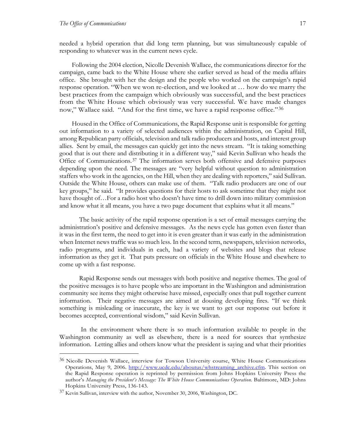needed a hybrid operation that did long term planning, but was simultaneously capable of responding to whatever was in the current news cycle.

Following the 2004 election, Nicolle Devenish Wallace, the communications director for the campaign, came back to the White House where she earlier served as head of the media affairs office. She brought with her the design and the people who worked on the campaign's rapid response operation. "When we won re-election, and we looked at … how do we marry the best practices from the campaign which obviously was successful, and the best practices from the White House which obviously was very successful. We have made changes now," Wallace said. "And for the first time, we have a rapid response office."<sup>[36](#page-22-0)</sup>

Housed in the Office of Communications, the Rapid Response unit is responsible for getting out information to a variety of selected audiences within the administration, on Capital Hill, among Republican party officials, television and talk radio producers and hosts, and interest group allies. Sent by email, the messages can quickly get into the news stream. "It is taking something good that is out there and distributing it in a different way," said Kevin Sullivan who heads the Office of Communications.[37](#page-22-1) The information serves both offensive and defensive purposes depending upon the need. The messages are "very helpful without question to administration staffers who work in the agencies, on the Hill, when they are dealing with reporters," said Sullivan. Outside the White House, others can make use of them. "Talk radio producers are one of our key groups," he said. "It provides questions for their hosts to ask sometime that they might not have thought of…For a radio host who doesn't have time to drill down into military commission and know what it all means, you have a two page document that explains what it all means."

The basic activity of the rapid response operation is a set of email messages carrying the administration's positive and defensive messages. As the news cycle has gotten even faster than it was in the first term, the need to get into it is even greater than it was early in the administration when Internet news traffic was so much less. In the second term, newspapers, television networks, radio programs, and individuals in each, had a variety of websites and blogs that release information as they get it. That puts pressure on officials in the White House and elsewhere to come up with a fast response.

Rapid Response sends out messages with both positive and negative themes. The goal of the positive messages is to have people who are important in the Washington and administration community see items they might otherwise have missed, especially ones that pull together current information. Their negative messages are aimed at dousing developing fires. "If we think something is misleading or inaccurate, the key is we want to get our response out before it becomes accepted, conventional wisdom," said Kevin Sullivan.

In the environment where there is so much information available to people in the Washington community as well as elsewhere, there is a need for sources that synthesize information. Letting allies and others know what the president is saying and what their priorities

<span id="page-22-0"></span><sup>&</sup>lt;sup>36</sup> Nicolle Devenish Wallace, interview for Towson University course, White House Communications Operations, May 9, 2006. [http://www.ucdc.edu/aboutus/whstreaming\\_archive.cfm.](http://www.ucdc.edu/aboutus/whstreaming_archive.cfm) This section on the Rapid Response operation is reprinted by permission from Johns Hopkins University Press the author's *Managing the President's Message: The White House Communications Operation*. Baltimore, MD: Johns Hopkins University Press, 136-143.

<span id="page-22-1"></span><sup>37</sup> Kevin Sullivan, interview with the author, November 30, 2006, Washington, DC.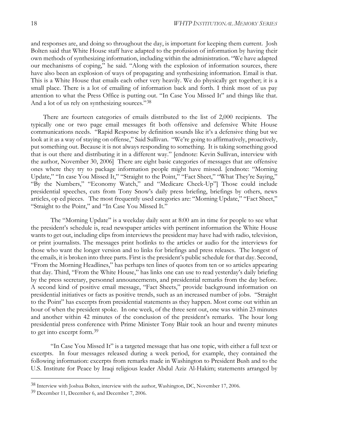and responses are, and doing so throughout the day, is important for keeping them current. Josh Bolten said that White House staff have adapted to the profusion of information by having their own methods of synthesizing information, including within the administration. "We have adapted our mechanisms of coping," he said. "Along with the explosion of information sources, there have also been an explosion of ways of propagating and synthesizing information. Email is that. This is a White House that emails each other very heavily. We do physically get together; it is a small place. There is a lot of emailing of information back and forth. I think most of us pay attention to what the Press Office is putting out. "In Case You Missed It" and things like that. And a lot of us rely on synthesizing sources."[38](#page-23-0)

There are fourteen categories of emails distributed to the list of 2,000 recipients. The typically one or two page email messages fit both offensive and defensive White House communications needs. "Rapid Response by definition sounds like it's a defensive thing but we look at it as a way of staying on offense," Said Sullivan. "We're going to affirmatively, proactively, put something out. Because it is not always responding to something. It is taking something good that is out there and distributing it in a different way." [endnote: Kevin Sullivan, interview with the author, November 30, 2006] There are eight basic categories of messages that are offensive ones where they try to package information people might have missed. [endnote: "Morning Update," "In case You Missed It," "Straight to the Point," "Fact Sheet," "What They're Saying," "By the Numbers," "Economy Watch," and "Medicare Check-Up"] Those could include presidential speeches, cuts from Tony Snow's daily press briefing, briefings by others, news articles, op ed pieces. The most frequently used categories are: "Morning Update," "Fact Sheet," "Straight to the Point," and "In Case You Missed It."

The "Morning Update" is a weekday daily sent at 8:00 am in time for people to see what the president's schedule is, read newspaper articles with pertinent information the White House wants to get out, including clips from interviews the president may have had with radio, television, or print journalists. The messages print hotlinks to the articles or audio for the interviews for those who want the longer version and to links for briefings and press releases. The longest of the emails, it is broken into three parts. First is the president's public schedule for that day. Second, "From the Morning Headlines," has perhaps ten lines of quotes from ten or so articles appearing that day. Third, "From the White House," has links one can use to read yesterday's daily briefing by the press secretary, personnel announcements, and presidential remarks from the day before. A second kind of positive email message, "Fact Sheets," provide background information on presidential initiatives or facts as positive trends, such as an increased number of jobs. "Straight to the Point" has excerpts from presidential statements as they happen. Most come out within an hour of when the president spoke. In one week, of the three sent out, one was within 23 minutes and another within 42 minutes of the conclusion of the president's remarks. The hour long presidential press conference with Prime Minister Tony Blair took an hour and twenty minutes to get into excerpt form.[39](#page-23-1)

"In Case You Missed It" is a targeted message that has one topic, with either a full text or excerpts. In four messages released during a week period, for example, they contained the following information: excerpts from remarks made in Washington to President Bush and to the U.S. Institute for Peace by Iraqi religious leader Abdul Aziz Al-Hakim; statements arranged by

<span id="page-23-0"></span> <sup>38</sup> Interview with Joshua Bolten, interview with the author, Washington, DC, November 17, 2006.

<span id="page-23-1"></span><sup>39</sup> December 11, December 6, and December 7, 2006.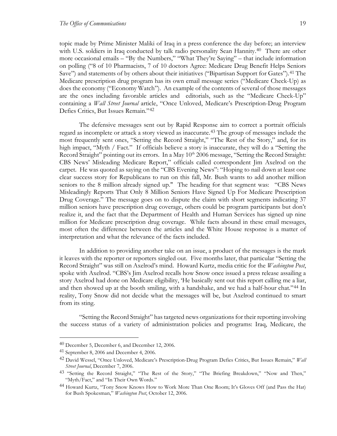topic made by Prime Minister Maliki of Iraq in a press conference the day before; an interview with U.S. soldiers in Iraq conducted by talk radio personality Sean Hannity.<sup>40</sup> There are other more occasional emails – "By the Numbers," "What They're Saying" – that include information on polling ("8 of 10 Pharmacists, 7 of 10 doctors Agree: Medicare Drug Benefit Helps Seniors Save") and statements of by others about their initiatives ("Bipartisan Support for Gates").<sup>[41](#page-24-1)</sup> The Medicare prescription drug program has its own email message series ("Medicare Check-Up) as does the economy ("Economy Watch"). An example of the contents of several of those messages are the ones including favorable articles and editorials, such as the "Medicare Check-Up" containing a *Wall Street Journal* article, "Once Unloved, Medicare's Prescription-Drug Program Defies Critics, But Issues Remain."[42](#page-24-2)

The defensive messages sent out by Rapid Response aim to correct a portrait officials regard as incomplete or attack a story viewed as inaccurate.[43](#page-24-3) The group of messages include the most frequently sent ones, "Setting the Record Straight," "The Rest of the Story," and, for its high impact, "Myth / Fact." If officials believe a story is inaccurate, they will do a "Setting the Record Straight" pointing out its errors. In a May  $10<sup>th</sup> 2006$  message, "Setting the Record Straight: CBS News' Misleading Medicare Report," officials called correspondent Jim Axelrod on the carpet. He was quoted as saying on the "CBS Evening News": "Hoping to nail down at least one clear success story for Republicans to run on this fall, Mr. Bush wants to add another million seniors to the 8 million already signed up." The heading for that segment was:"CBS News Misleadingly Reports That Only 8 Million Seniors Have Signed Up For Medicare Prescription Drug Coverage." The message goes on to dispute the claim with short segments indicating 37 million seniors have prescription drug coverage, others could be program participants but don't realize it, and the fact that the Department of Health and Human Services has signed up nine million for Medicare prescription drug coverage. While facts abound in these email messages, most often the difference between the articles and the White House response is a matter of interpretation and what the relevance of the facts included.

In addition to providing another take on an issue, a product of the messages is the mark it leaves with the reporter or reporters singled out. Five months later, that particular "Setting the Record Straight" was still on Axelrod's mind. Howard Kurtz, media critic for the *Washington Post*, spoke with Axelrod. "CBS's Jim Axelrod recalls how Snow once issued a press release assailing a story Axelrod had done on Medicare eligibility, 'He basically sent out this report calling me a liar, and then showed up at the booth smiling, with a handshake, and we had a half-hour chat."<sup>[44](#page-24-4)</sup> In reality, Tony Snow did not decide what the messages will be, but Axelrod continued to smart from its sting.

"Setting the Record Straight" has targeted news organizations for their reporting involving the success status of a variety of administration policies and programs: Iraq, Medicare, the

<span id="page-24-0"></span> <sup>40</sup> December 5, December 6, and December 12, 2006.

<span id="page-24-1"></span><sup>41</sup> September 8, 2006 and December 4, 2006.

<span id="page-24-2"></span><sup>42</sup> David Wessel, "Once Unloved, Medicare's Prescription-Drug Program Defies Critics, But Issues Remain," *Wall Street Journal*, December 7, 2006.

<span id="page-24-3"></span><sup>&</sup>lt;sup>43</sup> "Setting the Record Straight," "The Rest of the Story," "The Briefing Breakdown," "Now and Then," "Myth/Fact," and "In Their Own Words."

<span id="page-24-4"></span><sup>44</sup> Howard Kurtz, "Tony Snow Knows How to Work More Than One Room; It's Gloves Off (and Pass the Hat) for Bush Spokesman," *Washington Post*, October 12, 2006.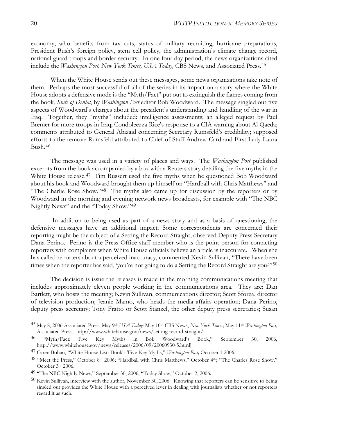economy, who benefits from tax cuts, status of military recruiting, hurricane preparations, President Bush's foreign policy, stem cell policy, the administration's climate change record, national guard troops and border security. In one four day period, the news organizations cited include the *Washington Post*, *New York Times, USA Today,* CBS News*,* and Associated Press.[45](#page-25-0)

When the White House sends out these messages, some news organizations take note of them. Perhaps the most successful of all of the series in its impact on a story where the White House adopts a defensive mode is the "Myth/Fact" put out to extinguish the flames coming from the book, *State of Denial*, by *Washington Post* editor Bob Woodward. The message singled out five aspects of Woodward's charges about the president's understanding and handling of the war in Iraq. Together, they "myths" included: intelligence assessments; an alleged request by Paul Bremer for more troops in Iraq; Condoleezza Rice's response to a CIA warning about Al Qaeda; comments attributed to General Abizaid concerning Secretary Rumsfeld's credibility; supposed efforts to the remove Rumsfeld attributed to Chief of Staff Andrew Card and First Lady Laura Bush.[46](#page-25-1)

The message was used in a variety of places and ways. The *Washington Post* published excerpts from the book accompanied by a box with a Reuters story detailing the five myths in the White House release.<sup>47</sup> Tim Russert used the five myths when he questioned Bob Woodward about his book and Woodward brought them up himself on "Hardball with Chris Matthews" and "The Charlie Rose Show."[48](#page-25-3) The myths also came up for discussion by the reporters or by Woodward in the morning and evening network news broadcasts, for example with "The NBC Nightly News" and the "Today Show."[49](#page-25-4)

In addition to being used as part of a news story and as a basis of questioning, the defensive messages have an additional impact. Some correspondents are concerned their reporting might be the subject of a Setting the Record Straight, observed Deputy Press Secretary Dana Perino. Perino is the Press Office staff member who is the point person for contacting reporters with complaints when White House officials believe an article is inaccurate. When she has called reporters about a perceived inaccuracy, commented Kevin Sullivan, "There have been times when the reporter has said, 'you're not going to do a Setting the Record Straight are you?"<sup>[50](#page-25-5)</sup>

The decision is issue the releases is made in the morning communications meeting that includes approximately eleven people working in the communications area. They are: Dan Bartlett, who hosts the meeting; Kevin Sullivan, communications director; Scott Sforza, director of television production; Jeanie Mamo, who heads the media affairs operation; Dana Perino, deputy press secretary; Tony Fratto or Scott Stanzel, the other deputy press secretaries; Susan

<span id="page-25-0"></span> <sup>45</sup> May 8, 2006 Associated Press, May 9th *USA Today;* May 10th CBS News, *New York Times*; May 11th *Washington Post*, Associated Press; http://www.whitehouse.gov/news/setting-record-straight/.

<span id="page-25-1"></span><sup>&</sup>lt;sup>46</sup> "Myth/Fact: Five Key Myths in Bob Woodward's Book," September 30, 2006, http://www.whitehouse.gov/news/releases/2006/09/20060930-5.html]

<span id="page-25-2"></span><sup>47</sup> Caren Bohan, "White House Lists Book's 'Five Key Myths," *Washington Post,* October 1 2006.

<span id="page-25-3"></span><sup>48 &</sup>quot;Meet the Press," October 8<sup>th</sup> 2006; "Hardball with Chris Matthews," October 4<sup>th</sup>; "The Charles Rose Show," October 3rd 2006.

<span id="page-25-4"></span><sup>49</sup> "The NBC Nightly News," September 30, 2006; "Today Show," October 2, 2006.

<span id="page-25-5"></span> $50$  Kevin Sullivan, interview with the author, November 30, 2006] Knowing that reporters can be sensitive to being singled out provides the White House with a perceived lever in dealing with journalists whether or not reporters regard it as such.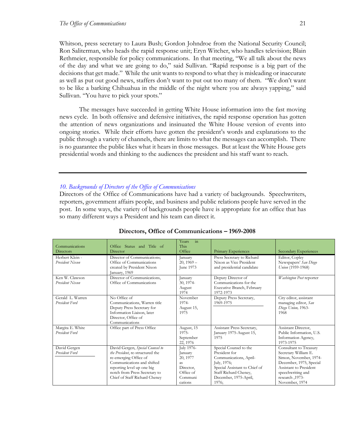Whitson, press secretary to Laura Bush; Gordon Johndroe from the National Security Council; Ron Saliterman, who heads the rapid response unit; Eryn Witcher, who handles television; Blain Rethmeier, responsible for policy communications. In that meeting, "We all talk about the news of the day and what we are going to do," said Sullivan. "Rapid response is a big part of the decisions that get made." While the unit wants to respond to what they is misleading or inaccurate as well as put out good news, staffers don't want to put out too many of them. "We don't want to be like a barking Chihuahua in the middle of the night where you are always yapping," said Sullivan. "You have to pick your spots."

The messages have succeeded in getting White House information into the fast moving news cycle. In both offensive and defensive initiatives, the rapid response operation has gotten the attention of news organizations and insinuated the White House version of events into ongoing stories. While their efforts have gotten the president's words and explanations to the public through a variety of channels, there are limits to what the messages can accomplish. There is no guarantee the public likes what it hears in those messages. But at least the White House gets presidential words and thinking to the audiences the president and his staff want to reach.

## <span id="page-26-0"></span>*10. Backgrounds of Directors of the Office of Communications*

Directors of the Office of Communications have had a variety of backgrounds. Speechwriters, reporters, government affairs people, and business and public relations people have served in the post. In some ways, the variety of backgrounds people have is appropriate for an office that has so many different ways a President and his team can direct it.

| Communications<br>Directors        | Office Status and Title of<br>Director                                                                                                                                                                                      | Years<br>$\mathbf{in}$<br>This<br>Office                                                       | Primary Experiences                                                                                                                                                          | Secondary Experiences                                                                                                                                                                   |
|------------------------------------|-----------------------------------------------------------------------------------------------------------------------------------------------------------------------------------------------------------------------------|------------------------------------------------------------------------------------------------|------------------------------------------------------------------------------------------------------------------------------------------------------------------------------|-----------------------------------------------------------------------------------------------------------------------------------------------------------------------------------------|
| Herbert Klein -<br>President Nixon | Director of Communications;<br>Office of Communications<br>created by President Nixon<br>January, 1969                                                                                                                      | January<br>$20, 1969 -$<br>June 1973                                                           | Press Secretary to Richard<br>Nixon as Vice President<br>and presidential candidate                                                                                          | Editor, Copley<br>Newspapers' San Diego<br>Union (1959-1968)                                                                                                                            |
| Ken W. Clawson<br>President Nixon  | Director of Communications,<br>Office of Communications                                                                                                                                                                     | January<br>30, 1974-<br>August<br>1974                                                         | Deputy Director of<br>Communications for the<br>Executive Branch, February<br>1972-1973                                                                                      | <b>Washington Post reporter</b>                                                                                                                                                         |
| Gerald L. Warren<br>President Ford | No Office of<br>Communications, Warren title<br>Deputy Press Secretary for<br>Information Liaison, later<br>Director, Office of<br>Communications                                                                           | November<br>1974-<br>August 15,<br>1975                                                        | Deputy Press Secretary,<br>1969-1975                                                                                                                                         | City editor, assistant<br>managing editor, San<br>Diego Union, 1963-<br>1968                                                                                                            |
| Margita E. White<br>President Ford | Office part of Press Office                                                                                                                                                                                                 | August, 15<br>1975-<br>September<br>22, 1976                                                   | Assistant Press Secretary,<br>January 1975-August 15,<br>1975                                                                                                                | Assistant Director,<br>Public Information, U.S.<br>Information Agency,<br>1973-1975                                                                                                     |
| David Gergen<br>President Ford     | David Gergen, Special Counsel to<br>the President, re-structured the<br>re-emerging Office of<br>Communications and shifted<br>reporting level up one big<br>notch from Press Secretary to<br>Chief of Staff Richard Cheney | July 1976-<br>January<br>20, 1977<br><b>as</b><br>Director,<br>Office of<br>Communi<br>cations | Special Counsel to the<br>President for<br>Communications, April-<br>July, 1976;<br>Special Assistant to Chief of<br>Staff Richard Cheney,<br>December, 1975-April,<br>1976; | Consultant to Treasury<br>Secretary William E.<br>Simon, November, 1974-<br>December, 1975, Special<br>Assistant to President<br>speechwriting and<br>research, 1973-<br>November, 1974 |

### **Directors, Office of Communications – 1969-2008**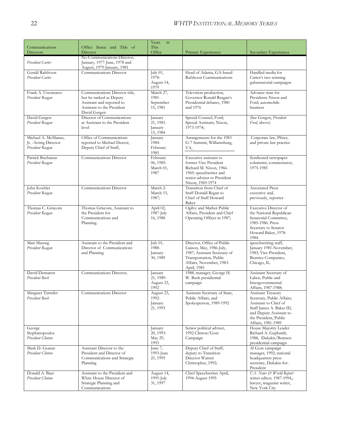| Communications<br>Directors                                      | Office Status and Title of<br>Director                                                                                               | Years<br>$\mathbf{in}$<br><b>This</b><br>Office | Primary Experiences                                                                                                                                         | Secondary Experiences                                                                                                                                                            |
|------------------------------------------------------------------|--------------------------------------------------------------------------------------------------------------------------------------|-------------------------------------------------|-------------------------------------------------------------------------------------------------------------------------------------------------------------|----------------------------------------------------------------------------------------------------------------------------------------------------------------------------------|
| President Carter                                                 | No Communications Director,<br>January, 1977-June, 1978 and<br>August, 1979-January, 1981                                            |                                                 |                                                                                                                                                             |                                                                                                                                                                                  |
| Gerald Rafshoon<br>President Carter                              | Communications Director                                                                                                              | July 01,<br>1978-<br>August 14,<br>1979         | Head of Atlanta, GA-based<br>Rafshoon Communications                                                                                                        | Handled media for<br>Carter's two winning<br>gubernatorial campaigns                                                                                                             |
| Frank A. Ursomarso<br>President Reagan                           | Communications Director title,<br>but he ranked as Deputy<br>Assistant and reported to<br>Assistant to the President<br>David Gergen | March 27,<br>1981-<br>September<br>15, 1981     | Television production,<br>Governor Ronald Reagan's<br>Presidential debates, 1980<br>and 1976                                                                | Advance man for<br>Presidents Nixon and<br>Ford; automobile<br>business                                                                                                          |
| David Gergen<br>President Reagan                                 | Director of Communications<br>at Assistant to the President<br>level                                                                 | January<br>21, 1981-<br>January<br>15, 1984     | Special Counsel, Ford;<br>Special Assistant, Nixon,<br>1973-1974;                                                                                           | (See Gergen, President<br>Ford, above)                                                                                                                                           |
| Michael A. McManus,<br>Jr. - Acting Director<br>President Reagan | Office of Communications<br>reported to Michael Deaver,<br>Deputy Chief of Staff,                                                    | January<br>1984-<br>February<br>1985            | Arrangements for the 1983<br>G-7 Summit, Williamsburg,<br>VA,                                                                                               | Corporate law, Pfizer,<br>and private law practice                                                                                                                               |
| Patrick Buchanan<br>President Reagan                             | Communications Director                                                                                                              | February<br>06, 1985-<br>March 01,<br>1987      | Executive assistant to<br>former Vice President<br>Richard M. Nixon, 1966-<br>1969; speechwriter and<br>senior advisor to President<br>Nixon, 1969-1974     | Syndicated newspaper<br>columnist, commentator,<br>1975-1985                                                                                                                     |
| John Koehler<br>President Reagan                                 | Communications Director                                                                                                              | March 2-<br>March 15,<br>1987;                  | Transition from Chief of<br>Staff Donald Regan to<br>Chief of Staff Howard<br>Baker                                                                         | <b>Associated Press</b><br>executive and,<br>previously, reporter                                                                                                                |
| Thomas C. Griscom<br>President Reagan                            | Thomas Griscom, Assistant to<br>the President for<br>Communications and<br>Planning.                                                 | April 02,<br>$1987$ -July<br>16, 1988           | Ogilvy and Mather Public<br>Affairs, President and Chief<br>Operating Officer in 1987;                                                                      | Executive Director of<br>the National Republican<br>Senatorial Committee,<br>1985-1986. Press<br>Secretary to Senator<br>Howard Baker, 1978-<br>1984.                            |
| Mari Maseng<br>President Reagan                                  | Assistant to the President and<br>Director of Communications<br>and Planning                                                         | July 01,<br>1988-<br>January<br>30, 1989        | Director, Office of Public<br>Liaison, May, 1986-July,<br>1987; Assistant Secretary of<br>Transportation, Public<br>Affairs, November, 1983-<br>April, 1985 | speechwriting staff,<br>January 1981-November,<br>1983; Vice President,<br>Beatrice Companies,<br>Chicago, IL.                                                                   |
| David Demarest<br>President Bush                                 | Communications Director,                                                                                                             | January<br>21, 1989-<br>August 23,<br>1992      | 1988, manager, George H.<br>W. Bush presidential<br>campaign                                                                                                | Assistant Secretary of<br>Labor, Public and<br>Intergovernmental<br>Affairs, 1987-1988;                                                                                          |
| Margaret Tutwiler<br>President Bush                              | Communications Director                                                                                                              | August 23,<br>1992-<br>January<br>21, 1993      | Assistant Secretary of State,<br>Public Affairs, and<br>Spokesperson, 1989-1992                                                                             | Assistant Treasury<br>Secretary, Public Affairs;<br>Assistant to Chief of<br>Staff James A. Baker III,<br>and Deputy Assistant to<br>the President, Public<br>Affairs, 1981-1989 |
| George<br>Stephanopoulos<br>President Clinton                    |                                                                                                                                      | January<br>20, 1993-<br>May 29,<br>1993         | Senior political adviser,<br>1992 Clinton/Gore<br>Campaign                                                                                                  | House Majority Leader<br>Richard A. Gephardt;<br>1988, Dukakis/Bentsen<br>presidential campaign                                                                                  |
| Mark D. Gearan<br>President Clinton                              | Assistant Director to the<br>President and Director of<br>Communications and Strategic<br>Planning                                   | June 7,<br>1993-June<br>21, 1995                | Deputy Chief of Staff;<br>deputy to Transition<br>Director Warren<br>Christopher, 1992;                                                                     | Al Gore campaign<br>manager, 1992; national<br>headquarters press<br>secretary, Dukakis-for-<br>President                                                                        |
| Donald A. Baer<br>President Clinton                              | Assistant to the President and<br>White House Director of<br>Strategic Planning and<br>Communications                                | August 14,<br>1995-July<br>31, 1997             | Chief Speechwriter April,<br>1994-August 1995                                                                                                               | U.S. News & World Report<br>writer-editor, 1987-1994,;<br>lawyer, magazine writer,<br>New York City                                                                              |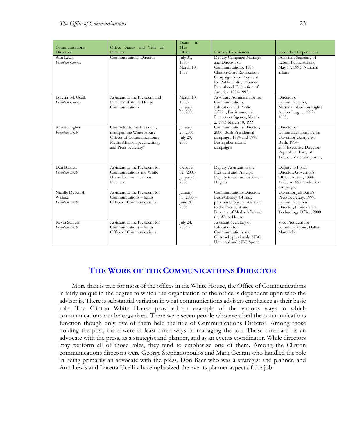## *The Office of Communications* 23

| Communications                                | Office Status and Title of                                                                                                                    | Years<br>$\mathbf{in}$<br><b>This</b>       |                                                                                                                                                                                                             |                                                                                                                                                         |
|-----------------------------------------------|-----------------------------------------------------------------------------------------------------------------------------------------------|---------------------------------------------|-------------------------------------------------------------------------------------------------------------------------------------------------------------------------------------------------------------|---------------------------------------------------------------------------------------------------------------------------------------------------------|
| Directors                                     | Director                                                                                                                                      | Office                                      | <b>Primary Experiences</b>                                                                                                                                                                                  | Secondary Experiences                                                                                                                                   |
| Ann Lewis<br>President Clinton                | Communications Director                                                                                                                       | July 31,<br>1997-<br>March 10,<br>1999      | Deputy Campaign Manager<br>and Director of<br>Communications, 1996<br>Clinton-Gore Re-Election<br>Campaign; Vice President<br>for Public Policy, Planned<br>Parenthood Federation of<br>America, 1994-1995; | ;Assistant Secretary of<br>Labor, Public Affairs,<br>May 17, 1993; National<br>affairs                                                                  |
| Loretta M. Ucelli<br><b>President Clinton</b> | Assistant to the President and<br>Director of White House<br>Communications                                                                   | March 10,<br>1999-<br>January<br>20, 2001   | Associate Administrator for<br>Communications.<br>Education and Public<br>Affairs, Environmental<br>Protection Agency, March<br>2, 1993-March 10, 1999                                                      | Director of<br>Communication,<br>National Abortion Rights<br>Action League, 1992-<br>1993;                                                              |
| Karen Hughes<br>President Bush                | Counselor to the President,<br>managed the White House<br>Offices of Communications,<br>Media Affairs, Speechwriting,<br>and Press Secretary" | January<br>$20, 2001 -$<br>July 29,<br>2005 | Communications Director,<br>2000 Bush Presidential<br>campaign; 1994 and 1998<br>Bush gubernatorial<br>campaigns                                                                                            | Director of<br>Communications, Texas<br>Governor George W.<br>Bush, 1994-<br>2000Executive Director,<br>Republican Party of<br>Texas; TV news reporter, |
| Dan Bartlett<br>President Bush                | Assistant to the President for<br>Communications and White<br>House Communications<br>Director                                                | October<br>02, 2001-<br>January 5,<br>2005  | Deputy Assistant to the<br>President and Principal<br>Deputy to Counselor Karen<br>Hughes                                                                                                                   | Deputy to Policy<br>Director, Governor's<br>Office, Austin, 1994-<br>1998; in 1998 re-election<br>campaign,                                             |
| Nicolle Devenish<br>Wallace<br>President Bush | Assistant to the President for<br>Communications - heads<br>Office of Communications                                                          | January<br>$05, 2005 -$<br>June 30,<br>2006 | Communications Director,<br>Bush-Cheney '04 Inc.;<br>previously, Special Assistant<br>to the President and<br>Director of Media Affairs at<br>the White House                                               | Governor Jeb Bush's<br>Press Secretary, 1999;<br>Communications<br>Director, Florida State<br>Technology Office, 2000                                   |
| Kevin Sullivan<br>President Bush              | Assistant to the President for<br>Communications - heads<br>Office of Communications                                                          | July 24,<br>$2006 -$                        | Assistant Secretary of<br>Education for<br>Communications and<br>Outreach; previously, NBC<br>Universal and NBC Sports                                                                                      | Vice President for<br>communications, Dallas<br>Mavericks                                                                                               |

## **THE WORK OF THE COMMUNICATIONS DIRECTOR**

<span id="page-28-0"></span>More than is true for most of the offices in the White House, the Office of Communications is fairly unique in the degree to which the organization of the office is dependent upon who the adviser is. There is substantial variation in what communications advisers emphasize as their basic role. The Clinton White House provided an example of the various ways in which communications can be organized. There were seven people who exercised the communications function though only five of them held the title of Communications Director. Among those holding the post, there were at least three ways of managing the job. Those three are: as an advocate with the press, as a strategist and planner, and as an events coordinator. While directors may perform all of those roles, they tend to emphasize one of them. Among the Clinton communications directors were George Stephanopoulos and Mark Gearan who handled the role in being primarily an advocate with the press, Don Baer who was a strategist and planner, and Ann Lewis and Loretta Ucelli who emphasized the events planner aspect of the job.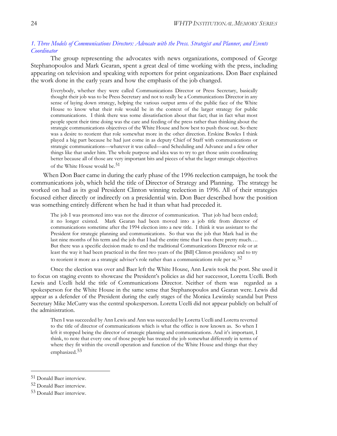## <span id="page-29-0"></span>*1. Three Models of Communications Directors: Advocate with the Press. Strategist and Planner, and Events Coordinator*

The group representing the advocates with news organizations, composed of George Stephanopoulos and Mark Gearan, spent a great deal of time working with the press, including appearing on television and speaking with reporters for print organizations. Don Baer explained the work done in the early years and how the emphasis of the job changed.

Everybody, whether they were called Communications Director or Press Secretary, basically thought their job was to be Press Secretary and not to really be a Communications Director in any sense of laying down strategy, helping the various output arms of the public face of the White House to know what their role would be in the context of the larger strategy for public communications. I think there was some dissatisfaction about that fact; that in fact what most people spent their time doing was the care and feeding of the press rather than thinking about the strategic communications objectives of the White House and how best to push those out. So there was a desire to reorient that role somewhat more in the other direction. Erskine Bowles I think played a big part because he had just come in as deputy Chief of Staff with communications or strategic communications—whatever it was called—and Scheduling and Advance and a few other things like that under him. The whole purpose and idea was to try to get those units coordinating better because all of those are very important bits and pieces of what the larger strategic objectives of the White House would be.<sup>[51](#page-29-1)</sup>

When Don Baer came in during the early phase of the 1996 reelection campaign, he took the communications job, which held the title of Director of Strategy and Planning. The strategy he worked on had as its goal President Clinton winning reelection in 1996. All of their strategies focused either directly or indirectly on a presidential win. Don Baer described how the position was something entirely different when he had it than what had preceded it.

The job I was promoted into was not the director of communication. That job had been ended; it no longer existed. Mark Gearan had been moved into a job title from director of communications sometime after the 1994 election into a new title. I think it was assistant to the President for strategic planning and communications. So that was the job that Mark had in the last nine months of his term and the job that I had the entire time that I was there pretty much…. But there was a specific decision made to end the traditional Communications Director role or at least the way it had been practiced in the first two years of the [Bill] Clinton presidency and to try to reorient it more as a strategic adviser's role rather than a communications role per se.<sup>[52](#page-29-2)</sup>

Once the election was over and Baer left the White House, Ann Lewis took the post. She used it to focus on staging events to showcase the President's policies as did her successor, Loretta Ucelli. Both Lewis and Ucelli held the title of Communications Director. Neither of them was regarded as a spokesperson for the White House in the same sense that Stephanopoulos and Gearan were. Lewis did appear as a defender of the President during the early stages of the Monica Lewinsky scandal but Press Secretary Mike McCurry was the central spokesperson. Loretta Ucelli did not appear publicly on behalf of the administration.

Then I was succeeded by Ann Lewis and Ann was succeeded by Loretta Ucelli and Loretta reverted to the title of director of communications which is what the office is now known as. So when I left it stopped being the director of strategic planning and communications. And it's important, I think, to note that every one of those people has treated the job somewhat differently in terms of where they fit within the overall operation and function of the White House and things that they emphasized.[53](#page-29-3)

<span id="page-29-1"></span> <sup>51</sup> Donald Baer interview.

<span id="page-29-2"></span><sup>52</sup> Donald Baer interview.

<span id="page-29-3"></span><sup>53</sup> Donald Baer interview.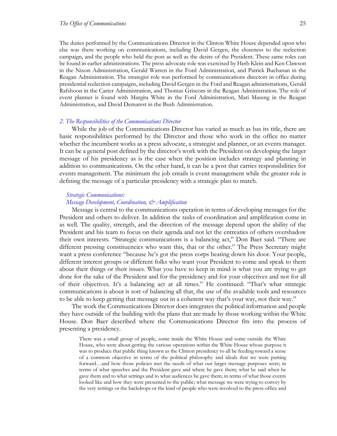The duties performed by the Communications Director in the Clinton White House depended upon who else was there working on communications, including David Gergen, the closeness to the reelection campaign, and the people who held the post as well as the desire of the President. These same roles can be found in earlier administrations. The press advocate role was exercised by Herb Klein and Ken Clawson in the Nixon Administration, Gerald Warren in the Ford Administration, and Patrick Buchanan in the Reagan Administration. The strategist role was performed by communications directors in office during presidential reelection campaigns, including David Gergen in the Ford and Reagan administrations, Gerald Rafshoon in the Carter Administration, and Thomas Griscom in the Reagan Administration. The role of event planner is found with Margita White in the Ford Administration, Mari Maseng in the Reagan Administration, and David Demarest in the Bush Administration.

#### <span id="page-30-0"></span>*2. The Responsibilities of the Communications Director*

While the job of the Communications Director has varied as much as has its title, there are basic responsibilities performed by the Director and those who work in the office no matter whether the incumbent works as a press advocate, a strategist and planner, or an events manager. It can be a general post defined by the director's work with the President on developing the larger message of his presidency as is the case when the position includes strategy and planning in addition to communications. On the other hand, it can be a post that carries responsibilities for events management. The minimum the job entails is event management while the greater role is defining the message of a particular presidency with a strategic plan to match.

#### *Strategic Communications:*

#### *Message Development, Coordination, & Amplification*

Message is central to the communications operation in terms of developing messages for the President and others to deliver. In addition the tasks of coordination and amplification come in as well. The quality, strength, and the direction of the message depend upon the ability of the President and his team to focus on their agenda and not let the entreaties of others overshadow their own interests. "Strategic communications is a balancing act," Don Baer said. "There are different pressing constituencies who want this, that or the other." The Press Secretary might want a press conference "because he's got the press corps beating down his door. Your people, different interest groups or different folks who want your President to come and speak to them about their things or their issues. What you have to keep in mind is what you are trying to get done for the sake of the President and for the presidency and for your objectives and not for all of their objectives. It's a balancing act at all times." He continued: "That's what strategic communications is about is sort of balancing all that, the use of the available tools and resources to be able to keep getting that message out in a coherent way that's your way, not their way."

The work the Communications Director does integrates the political information and people they have outside of the building with the plans that are made by those working within the White House. Don Baer described where the Communications Director fits into the process of presenting a presidency.

There was a small group of people, some inside the White House and some outside the White House, who were about getting the various operations within the White House whose purpose it was to produce that public thing known as the Clinton presidency to all be feeding toward a sense of a common objective in terms of the political philosophy and ideals that we were putting forward…and how those policies met the needs of what our larger message purposes were; in terms of what speeches and the President gave and where he gave them; what he said when he gave them and to what settings and to what audiences he gave them; in terms of what those events looked like and how they were presented to the public; what message we were trying to convey by the very settings or the backdrops or the kind of people who were involved to the press office and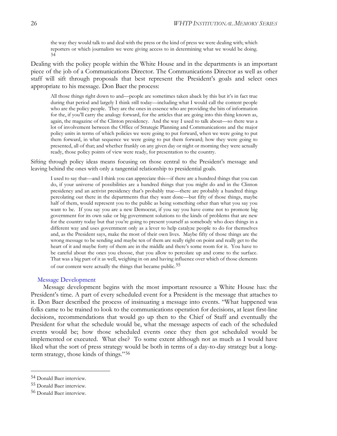the way they would talk to and deal with the press or the kind of press we were dealing with; which reporters or which journalists we were giving access to in determining what we would be doing. [54](#page-31-0) 

Dealing with the policy people within the White House and in the departments is an important piece of the job of a Communications Director. The Communications Director as well as other staff will sift through proposals that best represent the President's goals and select ones appropriate to his message. Don Baer the process:

All those things right down to and—people are sometimes taken aback by this but it's in fact true during that period and largely I think still today—including what I would call the content people who are the policy people. They are the ones in essence who are providing the bits of information for the, if you'll carry the analogy forward, for the articles that are going into this thing known as, again, the magazine of the Clinton presidency. And the way I used to talk about—so there was a lot of involvement between the Office of Strategic Planning and Communications and the major policy units in terms of which policies we were going to put forward, when we were going to put them forward, in what sequence we were going to put them forward; how they were going to presented, all of that; and whether frankly on any given day or night or morning they were actually ready, those policy points of view were ready, for presentation to the country.

Sifting through policy ideas means focusing on those central to the President's message and leaving behind the ones with only a tangential relationship to presidential goals.

I used to say that—and I think you can appreciate this—if there are a hundred things that you can do, if your universe of possibilities are a hundred things that you might do and in the Clinton presidency and an activist presidency that's probably true—there are probably a hundred things percolating out there in the departments that they want done—but fifty of those things, maybe half of them, would represent you to the public as being something other than what you say you want to be. If you say you are a new Democrat, if you say you have come not to promote big government for its own sake or big government solutions to the kinds of problems that are new for the country today but that you're going to present yourself as somebody who does things in a different way and uses government only as a lever to help catalyze people to do for themselves and, as the President says, make the most of their own lives. Maybe fifty of those things are the wrong message to be sending and maybe ten of them are really right on point and really get to the heart of it and maybe forty of them are in the middle and there's some room for it. You have to be careful about the ones you choose, that you allow to percolate up and come to the surface. That was a big part of it as well, weighing in on and having influence over which of those elements of our content were actually the things that became public.[55](#page-31-1)

### Message Development

Message development begins with the most important resource a White House has: the President's time. A part of every scheduled event for a President is the message that attaches to it. Don Baer described the process of insinuating a message into events. "What happened was folks came to be trained to look to the communications operation for decisions, at least first-line decisions, recommendations that would go up then to the Chief of Staff and eventually the President for what the schedule would be, what the message aspects of each of the scheduled events would be; how those scheduled events once they then got scheduled would be implemented or executed. What else? To some extent although not as much as I would have liked what the sort of press strategy would be both in terms of a day-to-day strategy but a longterm strategy, those kinds of things."[56](#page-31-2)

<span id="page-31-0"></span> <sup>54</sup> Donald Baer interview.

<span id="page-31-1"></span><sup>55</sup> Donald Baer interview.

<span id="page-31-2"></span><sup>56</sup> Donald Baer interview.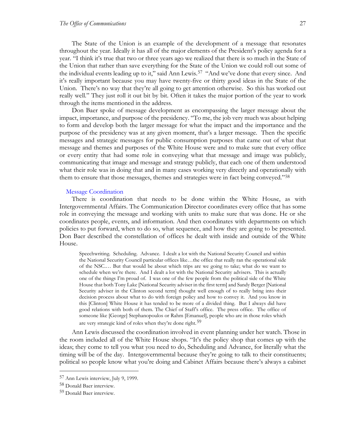The State of the Union is an example of the development of a message that resonates throughout the year. Ideally it has all of the major elements of the President's policy agenda for a year. "I think it's true that two or three years ago we realized that there is so much in the State of the Union that rather than save everything for the State of the Union we could roll out some of the individual events leading up to it," said Ann Lewis.<sup>57</sup> "And we've done that every since. And it's really important because you may have twenty-five or thirty good ideas in the State of the Union. There's no way that they're all going to get attention otherwise. So this has worked out really well." They just roll it out bit by bit. Often it takes the major portion of the year to work through the items mentioned in the address.

Don Baer spoke of message development as encompassing the larger message about the impact, importance, and purpose of the presidency. "To me, the job very much was about helping to form and develop both the larger message for what the impact and the importance and the purpose of the presidency was at any given moment, that's a larger message. Then the specific messages and strategic messages for public consumption purposes that came out of what that message and themes and purposes of the White House were and to make sure that every office or every entity that had some role in conveying what that message and image was publicly, communicating that image and message and strategy publicly, that each one of them understood what their role was in doing that and in many cases working very directly and operationally with them to ensure that those messages, themes and strategies were in fact being conveyed."[58](#page-32-1) 

#### Message Coordination

There is coordination that needs to be done within the White House, as with Intergovernmental Affairs. The Communication Director coordinates every office that has some role in conveying the message and working with units to make sure that was done. He or she coordinates people, events, and information. And then coordinates with departments on which policies to put forward, when to do so, what sequence, and how they are going to be presented. Don Baer described the constellation of offices he dealt with inside and outside of the White House.

Speechwriting. Scheduling. Advance. I dealt a lot with the National Security Council and within the National Security Council particular offices like…the office that really ran the operational side of the NSC.… But that would be about which trips are we going to take; what do we want to schedule when we're there. And I dealt a lot with the National Security advisers. This is actually one of the things I'm proud of. I was one of the few people from the political side of the White House that both Tony Lake [National Security adviser in the first term] and Sandy Berger [National Security adviser in the Clinton second term] thought well enough of to really bring into their decision process about what to do with foreign policy and how to convey it. And you know in this [Clinton] White House it has tended to be more of a divided thing. But I always did have good relations with both of them. The Chief of Staff's office. The press office. The office of someone like [George] Stephanopoulos or Rahm [Emanuel], people who are in those roles which are very strategic kind of roles when they're done right.<sup>[59](#page-32-2)</sup>

Ann Lewis discussed the coordination involved in event planning under her watch. Those in the room included all of the White House shops. "It's the policy shop that comes up with the ideas; they come to tell you what you need to do, Scheduling and Advance, for literally what the timing will be of the day. Intergovernmental because they're going to talk to their constituents; political so people know what you're doing and Cabinet Affairs because there's always a cabinet

<span id="page-32-0"></span> <sup>57</sup> Ann Lewis interview, July 9, 1999.

<span id="page-32-1"></span><sup>58</sup> Donald Baer interview.

<span id="page-32-2"></span><sup>59</sup> Donald Baer interview.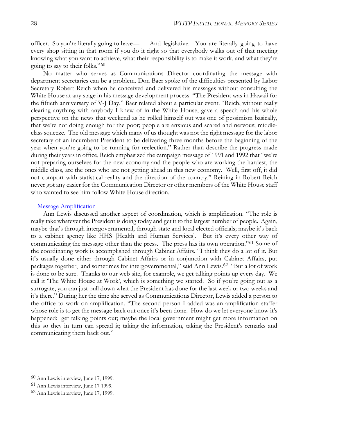officer. So you're literally going to have— And legislative. You are literally going to have every shop sitting in that room if you do it right so that everybody walks out of that meeting knowing what you want to achieve, what their responsibility is to make it work, and what they're going to say to their folks."[60](#page-33-0)

No matter who serves as Communications Director coordinating the message with department secretaries can be a problem. Don Baer spoke of the difficulties presented by Labor Secretary Robert Reich when he conceived and delivered his messages without consulting the White House at any stage in his message development process. "The President was in Hawaii for the fiftieth anniversary of V-J Day," Baer related about a particular event. "Reich, without really clearing anything with anybody I knew of in the White House, gave a speech and his whole perspective on the news that weekend as he rolled himself out was one of pessimism basically, that we're not doing enough for the poor; people are anxious and scared and nervous; middleclass squeeze. The old message which many of us thought was not the right message for the labor secretary of an incumbent President to be delivering three months before the beginning of the year when you're going to be running for reelection." Rather than describe the progress made during their years in office, Reich emphasized the campaign message of 1991 and 1992 that "we're not preparing ourselves for the new economy and the people who are working the hardest, the middle class, are the ones who are not getting ahead in this new economy. Well, first off, it did not comport with statistical reality and the direction of the country." Reining in Robert Reich never got any easier for the Communication Director or other members of the White House staff who wanted to see him follow White House direction.

### Message Amplification

Ann Lewis discussed another aspect of coordination, which is amplification. "The role is really take whatever the President is doing today and get it to the largest number of people. Again, maybe that's through intergovernmental, through state and local elected officials; maybe it's back to a cabinet agency like HHS [Health and Human Services]. But it's every other way of communicating the message other than the press. The press has its own operation."[61](#page-33-1) Some of the coordinating work is accomplished through Cabinet Affairs. "I think they do a lot of it. But it's usually done either through Cabinet Affairs or in conjunction with Cabinet Affairs, put packages together, and sometimes for intergovernmental," said Ann Lewis.[62](#page-33-2) "But a lot of work is done to be sure. Thanks to our web site, for example, we get talking points up every day. We call it 'The White House at Work', which is something we started. So if you're going out as a surrogate, you can just pull down what the President has done for the last week or two weeks and it's there." During her the time she served as Communications Director, Lewis added a person to the office to work on amplification. "The second person I added was an amplification staffer whose role is to get the message back out once it's been done. How do we let everyone know it's happened: get talking points out; maybe the local government might get more information on this so they in turn can spread it; taking the information, taking the President's remarks and communicating them back out."

<span id="page-33-0"></span> <sup>60</sup> Ann Lewis interview, June 17, 1999.

<span id="page-33-1"></span><sup>61</sup> Ann Lewis interview, June 17 1999.

<span id="page-33-2"></span><sup>62</sup> Ann Lewis interview, June 17, 1999.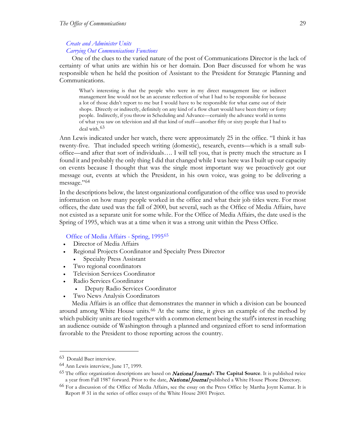## *Create and Administer Units Carrying Out Communications Functions*

One of the clues to the varied nature of the post of Communications Director is the lack of certainty of what units are within his or her domain. Don Baer discussed for whom he was responsible when he held the position of Assistant to the President for Strategic Planning and Communications.

What's interesting is that the people who were in my direct management line or indirect management line would not be an accurate reflection of what I had to be responsible for because a lot of those didn't report to me but I would have to be responsible for what came out of their shops. Directly or indirectly, definitely on any kind of a flow chart would have been thirty or forty people. Indirectly, if you throw in Scheduling and Advance—certainly the advance world in terms of what you saw on television and all that kind of stuff—another fifty or sixty people that I had to deal with.[63](#page-34-0)

Ann Lewis indicated under her watch, there were approximately 25 in the office. "I think it has twenty-five. That included speech writing (domestic), research, events—which is a small suboffice—and after that sort of individuals…. I will tell you, that is pretty much the structure as I found it and probably the only thing I did that changed while I was here was I built up our capacity on events because I thought that was the single most important way we proactively got our message out, events at which the President, in his own voice, was going to be delivering a message."[64](#page-34-1)

In the descriptions below, the latest organizational configuration of the office was used to provide information on how many people worked in the office and what their job titles were. For most offices, the date used was the fall of 2000, but several, such as the Office of Media Affairs, have not existed as a separate unit for some while. For the Office of Media Affairs, the date used is the Spring of 1995, which was at a time when it was a strong unit within the Press Office.

## Office of Media Affairs - Spring, 1995[65](#page-34-2)

- Director of Media Affairs
- Regional Projects Coordinator and Specialty Press Director
	- Specialty Press Assistant
- Two regional coordinators
- Television Services Coordinator
- Radio Services Coordinator
	- Deputy Radio Services Coordinator
- Two News Analysis Coordinators

Media Affairs is an office that demonstrates the manner in which a division can be bounced around among White House units.<sup>[66](#page-34-3)</sup> At the same time, it gives an example of the method by which publicity units are tied together with a common element being the staff's interest in reaching an audience outside of Washington through a planned and organized effort to send information favorable to the President to those reporting across the country.

<span id="page-34-0"></span> <sup>63</sup> Donald Baer interview.

<span id="page-34-1"></span><sup>64</sup> Ann Lewis interview, June 17, 1999.

<span id="page-34-2"></span><sup>65</sup> The office organization descriptions are based on National Journal's **The Capital Source**. It is published twice a year from Fall 1987 forward. Prior to the date, National Journal published a White House Phone Directory.

<span id="page-34-3"></span><sup>&</sup>lt;sup>66</sup> For a discussion of the Office of Media Affairs, see the essay on the Press Office by Martha Joynt Kumar. It is Report # 31 in the series of office essays of the White House 2001 Project.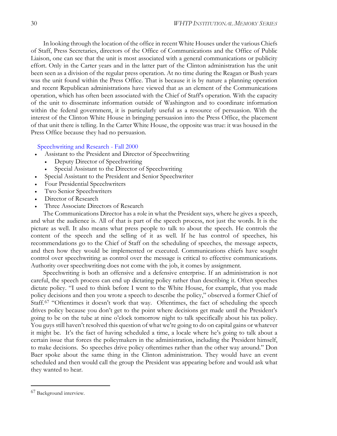In looking through the location of the office in recent White Houses under the various Chiefs of Staff, Press Secretaries, directors of the Office of Communications and the Office of Public Liaison, one can see that the unit is most associated with a general communications or publicity effort. Only in the Carter years and in the latter part of the Clinton administration has the unit been seen as a division of the regular press operation. At no time during the Reagan or Bush years was the unit found within the Press Office. That is because it is by nature a planning operation and recent Republican administrations have viewed that as an element of the Communications operation, which has often been associated with the Chief of Staff's operation. With the capacity of the unit to disseminate information outside of Washington and to coordinate information within the federal government, it is particularly useful as a resource of persuasion. With the interest of the Clinton White House in bringing persuasion into the Press Office, the placement of that unit there is telling. In the Carter White House, the opposite was true: it was housed in the Press Office because they had no persuasion.

## Speechwriting and Research - Fall 2000

- Assistant to the President and Director of Speechwriting
	- Deputy Director of Speechwriting
	- Special Assistant to the Director of Speechwriting
- Special Assistant to the President and Senior Speechwriter
- Four Presidential Speechwriters
- Two Senior Speechwriters
- Director of Research
- Three Associate Directors of Research

The Communications Director has a role in what the President says, where he gives a speech, and what the audience is. All of that is part of the speech process, not just the words. It is the picture as well. It also means what press people to talk to about the speech. He controls the content of the speech and the selling of it as well. If he has control of speeches, his recommendations go to the Chief of Staff on the scheduling of speeches, the message aspects, and then how they would be implemented or executed. Communications chiefs have sought control over speechwriting as control over the message is critical to effective communications. Authority over speechwriting does not come with the job, it comes by assignment.

Speechwriting is both an offensive and a defensive enterprise. If an administration is not careful, the speech process can end up dictating policy rather than describing it. Often speeches dictate policy. "I used to think before I went to the White House, for example, that you made policy decisions and then you wrote a speech to describe the policy," observed a former Chief of Staff.[67](#page-35-0) "Oftentimes it doesn't work that way. Oftentimes, the fact of scheduling the speech drives policy because you don't get to the point where decisions get made until the President's going to be on the tube at nine o'clock tomorrow night to talk specifically about his tax policy. You guys still haven't resolved this question of what we're going to do on capital gains or whatever it might be. It's the fact of having scheduled a time, a locale where he's going to talk about a certain issue that forces the policymakers in the administration, including the President himself, to make decisions. So speeches drive policy oftentimes rather than the other way around." Don Baer spoke about the same thing in the Clinton administration. They would have an event scheduled and then would call the group the President was appearing before and would ask what they wanted to hear.

<span id="page-35-0"></span> <sup>67</sup> Background interview.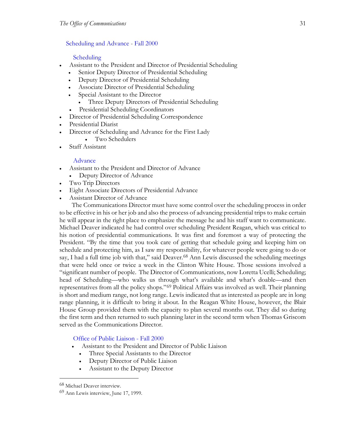## Scheduling and Advance - Fall 2000

## Scheduling

- Assistant to the President and Director of Presidential Scheduling
	- Senior Deputy Director of Presidential Scheduling
	- Deputy Director of Presidential Scheduling
	- Associate Director of Presidential Scheduling
	- Special Assistant to the Director
		- Three Deputy Directors of Presidential Scheduling
		- Presidential Scheduling Coordinators
- Director of Presidential Scheduling Correspondence
- Presidential Diarist
- Director of Scheduling and Advance for the First Lady
	- Two Schedulers
- Staff Assistant

## Advance

- Assistant to the President and Director of Advance
	- Deputy Director of Advance
- Two Trip Directors
- Eight Associate Directors of Presidential Advance
- Assistant Director of Advance

The Communications Director must have some control over the scheduling process in order to be effective in his or her job and also the process of advancing presidential trips to make certain he will appear in the right place to emphasize the message he and his staff want to communicate. Michael Deaver indicated he had control over scheduling President Reagan, which was critical to his notion of presidential communications. It was first and foremost a way of protecting the President. "By the time that you took care of getting that schedule going and keeping him on schedule and protecting him, as I saw my responsibility, for whatever people were going to do or say, I had a full time job with that," said Deaver.<sup>[68](#page-36-0)</sup> Ann Lewis discussed the scheduling meetings that were held once or twice a week in the Clinton White House. Those sessions involved a "significant number of people. The Director of Communications, now Loretta Ucelli; Scheduling; head of Scheduling—who walks us through what's available and what's doable—and then representatives from all the policy shops."[69](#page-36-1) Political Affairs was involved as well. Their planning is short and medium range, not long range. Lewis indicated that as interested as people are in long range planning, it is difficult to bring it about. In the Reagan White House, however, the Blair House Group provided them with the capacity to plan several months out. They did so during the first term and then returned to such planning later in the second term when Thomas Griscom served as the Communications Director.

## Office of Public Liaison - Fall 2000

- Assistant to the President and Director of Public Liaison
	- Three Special Assistants to the Director
	- Deputy Director of Public Liaison
	- Assistant to the Deputy Director

<span id="page-36-1"></span><span id="page-36-0"></span> <sup>68</sup> Michael Deaver interview.

<sup>69</sup> Ann Lewis interview, June 17, 1999.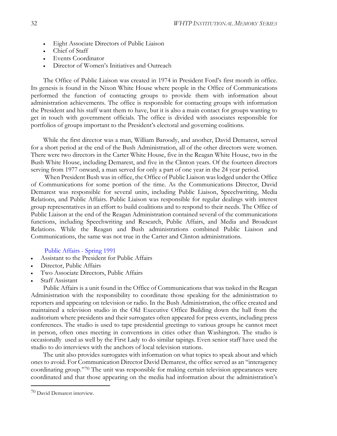- Eight Associate Directors of Public Liaison
- Chief of Staff
- Events Coordinator
- Director of Women's Initiatives and Outreach

The Office of Public Liaison was created in 1974 in President Ford's first month in office. Its genesis is found in the Nixon White House where people in the Office of Communications performed the function of contacting groups to provide them with information about administration achievements. The office is responsible for contacting groups with information the President and his staff want them to have, but it is also a main contact for groups wanting to get in touch with government officials. The office is divided with associates responsible for portfolios of groups important to the President's electoral and governing coalitions.

While the first director was a man, William Baroody, and another, David Demarest, served for a short period at the end of the Bush Administration, all of the other directors were women. There were two directors in the Carter White House, five in the Reagan White House, two in the Bush White House, including Demarest, and five in the Clinton years. Of the fourteen directors serving from 1977 onward, a man served for only a part of one year in the 24 year period.

When President Bush was in office, the Office of Public Liaison was lodged under the Office of Communications for some portion of the time. As the Communications Director, David Demarest was responsible for several units, including Public Liaison, Speechwriting, Media Relations, and Public Affairs. Public Liaison was responsible for regular dealings with interest group representatives in an effort to build coalitions and to respond to their needs. The Office of Public Liaison at the end of the Reagan Administration contained several of the communications functions, including Speechwriting and Research, Public Affairs, and Media and Broadcast Relations. While the Reagan and Bush administrations combined Public Liaison and Communications, the same was not true in the Carter and Clinton administrations.

### Public Affairs - Spring 1991

- Assistant to the President for Public Affairs
- Director, Public Affairs
- Two Associate Directors, Public Affairs
- Staff Assistant

Public Affairs is a unit found in the Office of Communications that was tasked in the Reagan Administration with the responsibility to coordinate those speaking for the administration to reporters and appearing on television or radio. In the Bush Administration, the office created and maintained a television studio in the Old Executive Office Building down the hall from the auditorium where presidents and their surrogates often appeared for press events, including press conferences. The studio is used to tape presidential greetings to various groups he cannot meet in person, often ones meeting in conventions in cities other than Washington. The studio is occasionally used as well by the First Lady to do similar tapings. Even senior staff have used the studio to do interviews with the anchors of local television stations.

The unit also provides surrogates with information on what topics to speak about and which ones to avoid. For Communication Director David Demarest, the office served as an "interagency coordinating group."[70](#page-37-0) The unit was responsible for making certain television appearances were coordinated and that those appearing on the media had information about the administration's

<span id="page-37-0"></span> <sup>70</sup> David Demarest interview.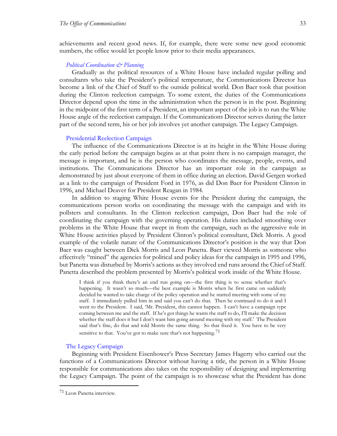achievements and recent good news. If, for example, there were some new good economic numbers, the office would let people know prior to their media appearances.

#### *Political Coordination & Planning*

Gradually as the political resources of a White House have included regular polling and consultants who take the President's political temperature, the Communications Director has become a link of the Chief of Staff to the outside political world. Don Baer took that position during the Clinton reelection campaign. To some extent, the duties of the Communications Director depend upon the time in the administration when the person is in the post. Beginning in the midpoint of the first term of a President, an important aspect of the job is to run the White House angle of the reelection campaign. If the Communications Director serves during the latter part of the second term, his or her job involves yet another campaign. The Legacy Campaign.

#### Presidential Reelection Campaign

The influence of the Communications Director is at its height in the White House during the early period before the campaign begins as at that point there is no campaign manager, the message is important, and he is the person who coordinates the message, people, events, and institutions. The Communications Director has an important role in the campaign as demonstrated by just about everyone of them in office during an election. David Gergen worked as a link to the campaign of President Ford in 1976, as did Don Baer for President Clinton in 1996, and Michael Deaver for President Reagan in 1984.

In addition to staging White House events for the President during the campaign, the communications person works on coordinating the message with the campaign and with its pollsters and consultants. In the Clinton reelection campaign, Don Baer had the role of coordinating the campaign with the governing operation. His duties included smoothing over problems in the White House that swept in from the campaign, such as the aggressive role in White House activities played by President Clinton's political consultant, Dick Morris. A good example of the volatile nature of the Communications Director's position is the way that Don Baer was caught between Dick Morris and Leon Panetta. Baer viewed Morris as someone who effectively "mined" the agencies for political and policy ideas for the campaign in 1995 and 1996, but Panetta was disturbed by Morris's actions as they involved end runs around the Chief of Staff. Panetta described the problem presented by Morris's political work inside of the White House.

I think if you think there's an end run going on—the first thing is to sense whether that's happening. It wasn't so much—the best example is Morris when he first came on suddenly decided he wanted to take charge of the policy operation and he started meeting with some of my staff. I immediately pulled him in and said you can't do that. Then he continued to do it and I went to the President. I said, 'Mr. President, this cannot happen. I can't have a campaign type coming between me and the staff. If he's got things he wants the staff to do, I'll make the decision whether the staff does it but I don't want him going around meeting with my staff.' The President said that's fine, do that and told Morris the same thing. So that fixed it. You have to be very sensitive to that. You've got to make sure that's not happening.<sup>[71](#page-38-0)</sup>

## The Legacy Campaign

Beginning with President Eisenhower's Press Secretary James Hagerty who carried out the functions of a Communications Director without having a title, the person in a White House responsible for communications also takes on the responsibility of designing and implementing the Legacy Campaign. The point of the campaign is to showcase what the President has done

<span id="page-38-0"></span> <sup>71</sup> Leon Panetta interview.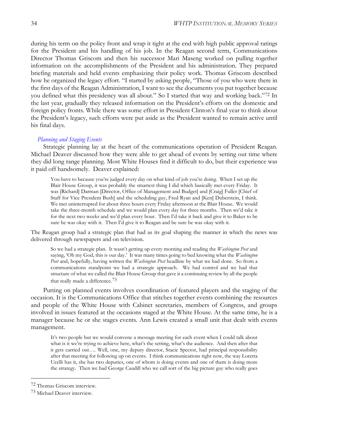during his term on the policy front and wrap it tight at the end with high public approval ratings for the President and his handling of his job. In the Reagan second term, Communications Director Thomas Griscom and then his successor Mari Maseng worked on pulling together information on the accomplishments of the President and his administration. They prepared briefing materials and held events emphasizing their policy work. Thomas Griscom described how he organized the legacy effort. "I started by asking people, "Those of you who were there in the first days of the Reagan Administration, I want to see the documents you put together because you defined what this presidency was all about." So I started that way and working back."[72](#page-39-0) In the last year, gradually they released information on the President's efforts on the domestic and foreign policy fronts. While there was some effort in President Clinton's final year to think about the President's legacy, such efforts were put aside as the President wanted to remain active until his final days.

### *Planning and Staging Events*

Strategic planning lay at the heart of the communications operation of President Reagan. Michael Deaver discussed how they were able to get ahead of events by setting out time where they did long range planning. Most White Houses find it difficult to do, but their experience was it paid off handsomely. Deaver explained:

You have to because you're judged every day on what kind of job you're doing. When I set up the Blair House Group, it was probably the smartest thing I did which basically met every Friday. It was [Richard] Darman [Director, Office of Management and Budget] and [Craig] Fuller [Chief of Staff for Vice President Bush] and the scheduling guy, Fred Ryan and [Ken] Duberstein, I think. We met uninterrupted for about three hours every Friday afternoon at the Blair House. We would take the three-month schedule and we would plan every day for three months. Then we'd take it for the next two weeks and we'd plan every hour. Then I'd take it back and give it to Baker to be sure he was okay with it. Then I'd give it to Reagan and be sure he was okay with it.

The Reagan group had a strategic plan that had as its goal shaping the manner in which the news was delivered through newspapers and on television.

So we had a strategic plan. It wasn't getting up every morning and reading the *Washington Post* and saying, 'Oh my God, this is our day.' It was many times going to bed knowing what the *Washington Post* and, hopefully, having written the *Washington Post* headline by what we had done. So from a communications standpoint we had a strategic approach. We had control and we had that structure of what we called the Blair House Group that gave it a continuing review by all the people that really made a difference.[73](#page-39-1)

Putting on planned events involves coordination of featured players and the staging of the occasion. It is the Communications Office that stitches together events combining the resources and people of the White House with Cabinet secretaries, members of Congress, and groups involved in issues featured at the occasions staged at the White House. At the same time, he is a manager because he or she stages events. Ann Lewis created a small unit that dealt with events management.

It's two people but we would convene a message meeting for each event when I could talk about what is it we're trying to achieve here, what's the setting, what's the audience. And then after that it gets carried out…. Well, one, my deputy director, Stacie Spector, had principal responsibility after that meeting for following up on events. I think communications right now, the way Loretta Ucelli has it, she has two deputies, one of whom is doing events and one of them is doing more the strategy. Then we had George Caudill who we call sort of the big picture guy who really goes

<span id="page-39-0"></span> <sup>72</sup> Thomas Griscom interview.

<span id="page-39-1"></span><sup>73</sup> Michael Deaver interview.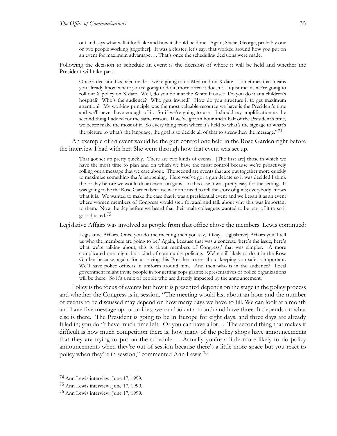#### *The Office of Communications* 35

out and says what will it look like and how it should be done. Again, Stacie, George, probably one or two people working [together]. It was a cluster, let's say, that worked around how you put on an event for maximum advantage…. That's once the scheduling decisions were made.

Following the decision to schedule an event is the decision of where it will be held and whether the President will take part.

Once a decision has been made—we're going to do Medicaid on X date—sometimes that means you already know where you're going to do it; more often it doesn't. It just means we're going to roll out X policy on X date. Well, do you do it at the White House? Do you do it at a children's hospital? Who's the audience? Who gets invited? How do you structure it to get maximum attention? My working principle was the most valuable resource we have is the President's time and we'll never have enough of it. So if we're going to use—I should say amplification as the second thing I added for the same reason. If we've got an hour and a half of the President's time, we better make the most of it. So every thing from where it's held to what's the signage to what's the picture to what's the language, the goal is to decide all of that to strengthen the message."<sup>[74](#page-40-0)</sup>

An example of an event would be the gun control one held in the Rose Garden right before the interview I had with her. She went through how that event was set up.

That got set up pretty quickly. There are two kinds of events. [The first are] those in which we have the most time to plan and on which we have the most control because we're proactively rolling out a message that we care about. The second are events that are put together more quickly to maximize something that's happening. Here you've got a gun debate so it was decided I think the Friday before we would do an event on guns. In this case it was pretty easy for the setting. It was going to be the Rose Garden because we don't need to tell the story of guns; everybody knows what it is. We wanted to make the case that it was a presidential event and we began it as an event where women members of Congress would step forward and talk about why this was important to them. Now the day before we heard that their male colleagues wanted to be part of it to so it got adjusted.[75](#page-40-1)

Legislative Affairs was involved as people from that office chose the members. Lewis continued:

Legislative Affairs. Once you do the meeting then you say, 'Okay, Leg[islative] Affairs you'll tell us who the members are going to be.' Again, because that was a concrete 'here's the issue, here's what we're talking about, this is about members of Congress,' that was simpler. A more complicated one might be a kind of community policing. We're still likely to do it in the Rose Garden because, again, for us saying this President cares about keeping you safe is important. We'll have police officers in uniform around him. And then who is in the audience? Local government might invite people in for getting cops grants; representatives of police organizations will be there. So it's a mix of people who are directly impacted by the announcement.

Policy is the focus of events but how it is presented depends on the stage in the policy process and whether the Congress is in session. "The meeting would last about an hour and the number of events to be discussed may depend on how many days we have to fill. We can look at a month and have five message opportunities; we can look at a month and have three. It depends on what else is there. The President is going to be in Europe for eight days, and three days are already filled in; you don't have much time left. Or you can have a lot…. The second thing that makes it difficult is how much competition there is, how many of the policy shops have announcements that they are trying to put on the schedule.… Actually you're a little more likely to do policy announcements when they're out of session because there's a little more space but you react to policy when they're in session," commented Ann Lewis.[76](#page-40-2)

<span id="page-40-0"></span> <sup>74</sup> Ann Lewis interview, June 17, 1999.

<span id="page-40-1"></span><sup>75</sup> Ann Lewis interview, June 17, 1999.

<span id="page-40-2"></span><sup>76</sup> Ann Lewis interview, June 17, 1999.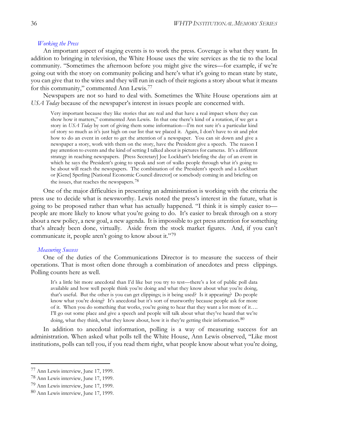## *Working the Press*

An important aspect of staging events is to work the press. Coverage is what they want. In addition to bringing in television, the White House uses the wire services as the tie to the local community. "Sometimes the afternoon before you might give the wires—for example, if we're going out with the story on community policing and here's what it's going to mean state by state, you can give that to the wires and they will run in each of their regions a story about what it means for this community," commented Ann Lewis.[77](#page-41-0) 

Newspapers are not so hard to deal with. Sometimes the White House operations aim at *USA Today* because of the newspaper's interest in issues people are concerned with.

Very important because they like stories that are real and that have a real impact where they can show how it matters," commented Ann Lewis. In that one there's kind of a rotation, if we get a story in *USA Today* by sort of giving them some information—I'm not sure it's a particular kind of story so much as it's just high on our list that we placed it. Again, I don't have to sit and plot how to do an event in order to get the attention of a newspaper. You can sit down and give a newspaper a story, work with them on the story, have the President give a speech. The reason I pay attention to events and the kind of setting I talked about is pictures for cameras. It's a different strategy in reaching newspapers. [Press Secretary] Joe Lockhart's briefing the day of an event in which he says the President's going to speak and sort of walks people through what it's going to be about will reach the newspapers. The combination of the President's speech and a Lockhart or [Gene] Sperling [National Economic Council director] or somebody coming in and briefing on the issues, that reaches the newspapers.[78](#page-41-1)

One of the major difficulties in presenting an administration is working with the criteria the press use to decide what is newsworthy. Lewis noted the press's interest in the future, what is going to be proposed rather than what has actually happened. "I think it is simply easier to people are more likely to know what you're going to do. It's easier to break through on a story about a new policy, a new goal, a new agenda. It is impossible to get press attention for something that's already been done, virtually. Aside from the stock market figures. And, if you can't communicate it, people aren't going to know about it."[79](#page-41-2) 

#### *Measuring Success*

One of the duties of the Communications Director is to measure the success of their operations. That is most often done through a combination of anecdotes and press clippings. Polling counts here as well.

It's a little bit more anecdotal than I'd like but you try to test—there's a lot of public poll data available and how well people think you're doing and what they know about what you're doing, that's useful. But the other is you can get clippings; is it being used? Is it appearing? Do people know what you're doing? It's anecdotal but it's sort of trustworthy because people ask for more of it. When you do something that works, you're going to hear that they want a lot more of it…. I'll go out some place and give a speech and people will talk about what they've heard that we're doing, what they think, what they know about, how it is they're getting their information.<sup>[80](#page-41-3)</sup>

In addition to anecdotal information, polling is a way of measuring success for an administration. When asked what polls tell the White House, Ann Lewis observed, "Like most institutions, polls can tell you, if you read them right, what people know about what you're doing,

<span id="page-41-0"></span> <sup>77</sup> Ann Lewis interview, June 17, 1999.

<span id="page-41-1"></span><sup>78</sup> Ann Lewis interview, June 17, 1999.

<span id="page-41-2"></span><sup>79</sup> Ann Lewis interview, June 17, 1999.

<span id="page-41-3"></span><sup>80</sup> Ann Lewis interview, June 17, 1999.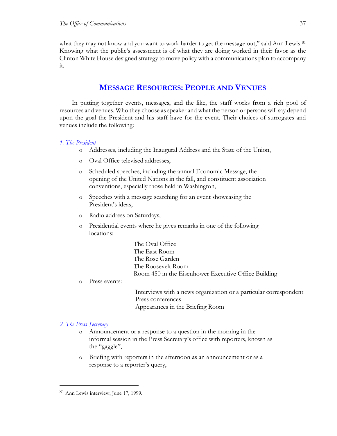<span id="page-42-0"></span>what they may not know and you want to work harder to get the message out," said Ann Lewis.<sup>[81](#page-42-3)</sup> Knowing what the public's assessment is of what they are doing worked in their favor as the Clinton White House designed strategy to move policy with a communications plan to accompany it.

## **MESSAGE RESOURCES: PEOPLE AND VENUES**

In putting together events, messages, and the like, the staff works from a rich pool of resources and venues. Who they choose as speaker and what the person or persons will say depend upon the goal the President and his staff have for the event. Their choices of surrogates and venues include the following:

## <span id="page-42-1"></span>*1. The President*

- o Addresses, including the Inaugural Address and the State of the Union,
- o Oval Office televised addresses,
- o Scheduled speeches, including the annual Economic Message, the opening of the United Nations in the fall, and constituent association conventions, especially those held in Washington,
- o Speeches with a message searching for an event showcasing the President's ideas,
- o Radio address on Saturdays,
- o Presidential events where he gives remarks in one of the following locations:

The Oval Office The East Room The Rose Garden The Roosevelt Room Room 450 in the Eisenhower Executive Office Building

o Press events:

Interviews with a news organization or a particular correspondent Press conferences Appearances in the Briefing Room

## <span id="page-42-2"></span>*2. The Press Secretary*

- o Announcement or a response to a question in the morning in the informal session in the Press Secretary's office with reporters, known as the "gaggle",
- o Briefing with reporters in the afternoon as an announcement or as a response to a reporter's query,

<span id="page-42-3"></span> <sup>81</sup> Ann Lewis interview, June 17, 1999.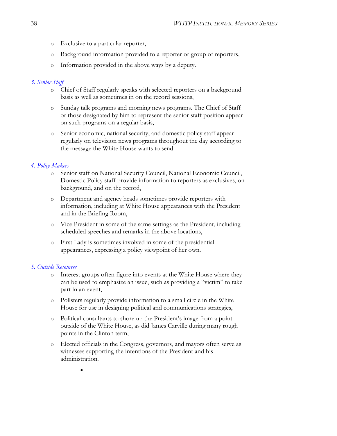- o Exclusive to a particular reporter,
- o Background information provided to a reporter or group of reporters,
- o Information provided in the above ways by a deputy.

## <span id="page-43-0"></span>*3. Senior Staff*

- o Chief of Staff regularly speaks with selected reporters on a background basis as well as sometimes in on the record sessions,
- o Sunday talk programs and morning news programs. The Chief of Staff or those designated by him to represent the senior staff position appear on such programs on a regular basis,
- o Senior economic, national security, and domestic policy staff appear regularly on television news programs throughout the day according to the message the White House wants to send.

## <span id="page-43-1"></span>*4. Policy Makers*

- o Senior staff on National Security Council, National Economic Council, Domestic Policy staff provide information to reporters as exclusives, on background, and on the record,
- o Department and agency heads sometimes provide reporters with information, including at White House appearances with the President and in the Briefing Room,
- o Vice President in some of the same settings as the President, including scheduled speeches and remarks in the above locations,
- o First Lady is sometimes involved in some of the presidential appearances, expressing a policy viewpoint of her own.

## <span id="page-43-2"></span>*5. Outside Resources*

- o Interest groups often figure into events at the White House where they can be used to emphasize an issue, such as providing a "victim" to take part in an event,
- o Pollsters regularly provide information to a small circle in the White House for use in designing political and communications strategies,
- o Political consultants to shore up the President's image from a point outside of the White House, as did James Carville during many rough points in the Clinton term,
- o Elected officials in the Congress, governors, and mayors often serve as witnesses supporting the intentions of the President and his administration.

•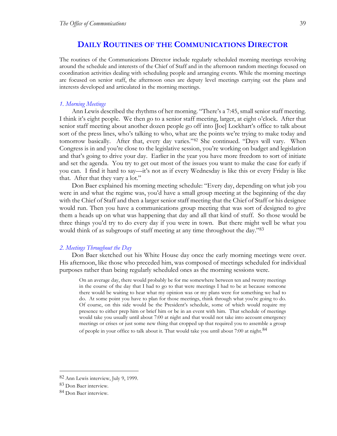## **DAILY ROUTINES OF THE COMMUNICATIONS DIRECTOR**

<span id="page-44-0"></span>The routines of the Communications Director include regularly scheduled morning meetings revolving around the schedule and interests of the Chief of Staff and in the afternoon random meetings focused on coordination activities dealing with scheduling people and arranging events. While the morning meetings are focused on senior staff, the afternoon ones are deputy level meetings carrying out the plans and interests developed and articulated in the morning meetings.

#### <span id="page-44-1"></span>*1. Morning Meetings*

Ann Lewis described the rhythms of her morning. "There's a 7:45, small senior staff meeting. I think it's eight people. We then go to a senior staff meeting, larger, at eight o'clock. After that senior staff meeting about another dozen people go off into [Joe] Lockhart's office to talk about sort of the press lines, who's talking to who, what are the points we're trying to make today and tomorrow basically. After that, every day varies."[82](#page-44-3) She continued. "Days will vary. When Congress is in and you're close to the legislative session, you're working on budget and legislation and that's going to drive your day. Earlier in the year you have more freedom to sort of initiate and set the agenda. You try to get out most of the issues you want to make the case for early if you can. I find it hard to say—it's not as if every Wednesday is like this or every Friday is like that. After that they vary a lot."

Don Baer explained his morning meeting schedule: "Every day, depending on what job you were in and what the regime was, you'd have a small group meeting at the beginning of the day with the Chief of Staff and then a larger senior staff meeting that the Chief of Staff or his designee would run. Then you have a communications group meeting that was sort of designed to give them a heads up on what was happening that day and all that kind of stuff. So those would be three things you'd try to do every day if you were in town. But there might well be what you would think of as subgroups of staff meeting at any time throughout the day."<sup>[83](#page-44-4)</sup>

## <span id="page-44-2"></span>*2. Meetings Throughout the Day*

Don Baer sketched out his White House day once the early morning meetings were over. His afternoon, like those who preceded him, was composed of meetings scheduled for individual purposes rather than being regularly scheduled ones as the morning sessions were.

On an average day, there would probably be for me somewhere between ten and twenty meetings in the course of the day that I had to go to that were meetings I had to be at because someone there would be waiting to hear what my opinion was or my plans were for something we had to do. At some point you have to plan for those meetings, think through what you're going to do. Of course, on this side would be the President's schedule, some of which would require my presence to either prep him or brief him or be in an event with him. That schedule of meetings would take you usually until about 7:00 at night and that would not take into account emergency meetings or crises or just some new thing that cropped up that required you to assemble a group of people in your office to talk about it. That would take you until about 7:00 at night.<sup>[84](#page-44-5)</sup>

<span id="page-44-3"></span> <sup>82</sup> Ann Lewis interview, July 9, 1999.

<span id="page-44-4"></span><sup>83</sup> Don Baer interview.

<span id="page-44-5"></span><sup>84</sup> Don Baer interview.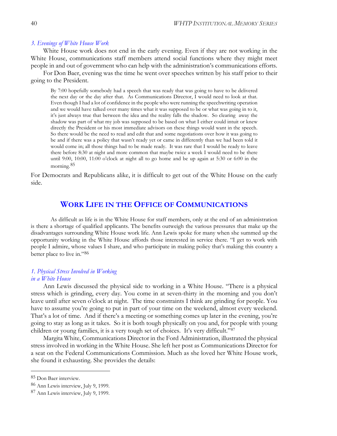#### <span id="page-45-0"></span>*3. Evenings of White House Work*

White House work does not end in the early evening. Even if they are not working in the White House, communications staff members attend social functions where they might meet people in and out of government who can help with the administration's communications efforts.

For Don Baer, evening was the time he went over speeches written by his staff prior to their going to the President.

By 7:00 hopefully somebody had a speech that was ready that was going to have to be delivered the next day or the day after that. As Communications Director, I would need to look at that. Even though I had a lot of confidence in the people who were running the speechwriting operation and we would have talked over many times what it was supposed to be or what was going in to it, it's just always true that between the idea and the reality falls the shadow. So clearing away the shadow was part of what my job was supposed to be based on what I either could intuit or knew directly the President or his most immediate advisors on these things would want in the speech. So there would be the need to read and edit that and some negotiations over how it was going to be and if there was a policy that wasn't ready yet or came in differently than we had been told it would come in; all those things had to be made ready. It was rare that I would be ready to leave there before 8:30 at night and more common that maybe twice a week I would need to be there until 9:00, 10:00, 11:00 o'clock at night all to go home and be up again at 5:30 or 6:00 in the morning.<sup>[85](#page-45-3)</sup>

<span id="page-45-1"></span>For Democrats and Republicans alike, it is difficult to get out of the White House on the early side.

## **WORK LIFE IN THE OFFICE OF COMMUNICATIONS**

As difficult as life is in the White House for staff members, only at the end of an administration is there a shortage of qualified applicants. The benefits outweigh the various pressures that make up the disadvantages surrounding White House work life. Ann Lewis spoke for many when she summed up the opportunity working in the White House affords those interested in service there. "I get to work with people I admire, whose values I share, and who participate in making policy that's making this country a better place to live in."[86](#page-45-4)

## <span id="page-45-2"></span>*1. Physical Stress Involved in Working in a White House*

Ann Lewis discussed the physical side to working in a White House. "There is a physical stress which is grinding, every day. You come in at seven-thirty in the morning and you don't leave until after seven o'clock at night. The time constraints I think are grinding for people. You have to assume you're going to put in part of your time on the weekend, almost every weekend. That's a lot of time. And if there's a meeting or something comes up later in the evening, you're going to stay as long as it takes. So it is both tough physically on you and, for people with young children or young families, it is a very tough set of choices. It's very difficult."[87](#page-45-5)

Margita White, Communications Director in the Ford Administration, illustrated the physical stress involved in working in the White House. She left her post as Communications Director for a seat on the Federal Communications Commission. Much as she loved her White House work, she found it exhausting. She provides the details:

<span id="page-45-3"></span> <sup>85</sup> Don Baer interview.

<span id="page-45-4"></span><sup>86</sup> Ann Lewis interview, July 9, 1999.

<span id="page-45-5"></span><sup>87</sup> Ann Lewis interview, July 9, 1999.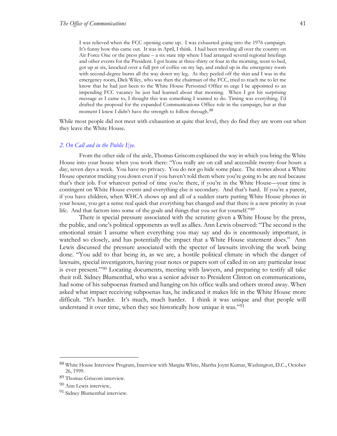I was relieved when the FCC opening came up. I was exhausted going into the 1976 campaign. It's funny how this came out. It was in April, I think. I had been traveling all over the country on Air Force One or the press plane – a six state trip where I had arranged several regional briefings and other events for the President. I got home at three-thirty or four in the morning, went to bed, got up at six, knocked over a full pot of coffee on my lap, and ended up in the emergency room with second-degree burns all the way down my leg. As they peeled off the skin and I was in the emergency room, Dick Wiley, who was then the chairman of the FCC, tried to reach me to let me know that he had just been to the White House Personnel Office to urge I be appointed to an impending FCC vacancy he just had learned about that morning. When I got his surprising message as I came to, I thought this was something I wanted to do. Timing was everything. I'd drafted the proposal for the expanded Communications Office role in the campaign, but at that moment I knew I didn't have the strength to follow through.<sup>[88](#page-46-1)</sup>

While most people did not meet with exhaustion at quite that level, they do find they are worn out when they leave the White House.

#### <span id="page-46-0"></span>*2. On Call and in the Public Eye.*

From the other side of the aisle, Thomas Griscom explained the way in which you bring the White House into your house when you work there: "You really are on call and accessible twenty-four hours a day, seven days a week. You have no privacy. You do not go hide some place. The stories about a White House operator tracking you down even if you haven't told them where you're going to be are real because that's their job. For whatever period of time you're there, if you're in the White House—your time is contingent on White House events and everything else is secondary. And that's hard. If you're a parent, if you have children, when WHCA shows up and all of a sudden starts putting White House phones in your house, you get a sense real quick that everything has changed and that there is a new priority in your life. And that factors into some of the goals and things that you set for yourself."[89](#page-46-2)

There is special pressure associated with the scrutiny given a White House by the press, the public, and one's political opponents as well as allies. Ann Lewis observed: "The second is the emotional strain I assume when everything you may say and do is enormously important, is watched so closely, and has potentially the impact that a White House statement does." Ann Lewis discussed the pressure associated with the specter of lawsuits involving the work being done. "You add to that being in, as we are, a hostile political climate in which the danger of lawsuits, special investigators, having your notes or papers sort of called in on any particular issue is ever present."[90](#page-46-3) Locating documents, meeting with lawyers, and preparing to testify all take their toll. Sidney Blumenthal, who was a senior adviser to President Clinton on communications, had some of his subpoenas framed and hanging on his office walls and others stored away. When asked what impact receiving subpoenas has, he indicated it makes life in the White House more difficult. "It's harder. It's much, much harder. I think it was unique and that people will understand it over time, when they see historically how unique it was."[91](#page-46-4)

<span id="page-46-1"></span> <sup>88</sup> White House Interview Program, Interview with Margita White, Martha Joynt Kumar, Washington, D.C., October 26, 1999.

<span id="page-46-2"></span><sup>89</sup> Thomas Griscom interview.

<span id="page-46-3"></span><sup>90</sup> Ann Lewis interview,

<span id="page-46-4"></span><sup>91</sup> Sidney Blumenthal interview.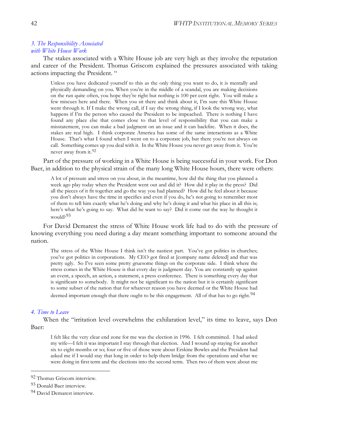## <span id="page-47-0"></span>*3. The Responsibility Associated with White House Work*

The stakes associated with a White House job are very high as they involve the reputation and career of the President. Thomas Griscom explained the pressures associated with taking actions impacting the President. "

Unless you have dedicated yourself to this as the only thing you want to do, it is mentally and physically demanding on you. When you're in the middle of a scandal, you are making decisions on the run quite often, you hope they're right but nothing is 100 per cent right. You will make a few miscues here and there. When you sit there and think about it, I'm sure this White House went through it. If I make the wrong call, if I say the wrong thing, if I look the wrong way, what happens if I'm the person who caused the President to be impeached. There is nothing I have found any place else that comes close to that level of responsibility that you can make a misstatement, you can make a bad judgment on an issue and it can backfire. When it does, the stakes are real high. I think corporate America has some of the same interactions as a White House. That's what I found when I went on to a corporate job, but there you're not always on call. Something comes up you deal with it. In the White House you never get away from it. You're never away from it.[92](#page-47-2)

Part of the pressure of working in a White House is being successful in your work. For Don Baer, in addition to the physical strain of the many long White House hours, there were others:

A lot of pressure and stress on you about, in the meantime, how did the thing that you planned a week ago play today when the President went out and did it? How did it play in the press? Did all the pieces of it fit together and go the way you had planned? How did he feel about it because you don't always have the time in specifics and even if you do, he's not going to remember most of them to tell him exactly what he's doing and why he's doing it and what his place in all this is; here's what he's going to say. What did he want to say? Did it come out the way he thought it would?[93](#page-47-3)

For David Demarest the stress of White House work life had to do with the pressure of knowing everything you need during a day meant something important to someone around the nation.

The stress of the White House I think isn't the nastiest part. You've got politics in churches; you've got politics in corporations. My CEO got fired at [company name deleted] and that was pretty ugly. So I've seen some pretty gruesome things on the corporate side. I think where the stress comes in the White House is that every day is judgment day. You are constantly up against an event, a speech, an action, a statement, a press conference. There is something every day that is significant to somebody. It might not be significant to the nation but it is certainly significant to some subset of the nation that for whatever reason you have deemed or the White House had deemed important enough that there ought to be this engagement. All of that has to go right.<sup>[94](#page-47-4)</sup>

### <span id="page-47-1"></span>*4. Time to Leave*

When the "irritation level overwhelms the exhilaration level," its time to leave, says Don Baer:

I felt like the very clear end zone for me was the election in 1996. I felt committed. I had asked my wife—I felt it was important I stay through that election. And I wound up staying for another six to eight months or so; four or five of those were about Erskine Bowles and the President had asked me if I would stay that long in order to help them bridge from the operations and what we were doing in first term and the elections into the second term. Then two of them were about me

<span id="page-47-2"></span> <sup>92</sup> Thomas Griscom interview.

<span id="page-47-3"></span><sup>93</sup> Donald Baer interview.

<span id="page-47-4"></span><sup>94</sup> David Demarest interview.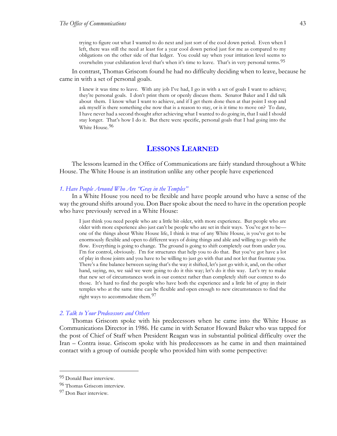trying to figure out what I wanted to do next and just sort of the cool down period. Even when I left, there was still the need at least for a year cool down period just for me as compared to my obligations on the other side of that ledger. You could say when your irritation level seems to overwhelm your exhilaration level that's when it's time to leave. That's in very personal terms.<sup>[95](#page-48-3)</sup>

In contrast, Thomas Griscom found he had no difficulty deciding when to leave, because he came in with a set of personal goals.

I knew it was time to leave. With any job I've had, I go in with a set of goals I want to achieve; they're personal goals. I don't print them or openly discuss them. Senator Baker and I did talk about them. I know what I want to achieve, and if I get them done then at that point I stop and ask myself is there something else now that is a reason to stay, or is it time to move on? To date, I have never had a second thought after achieving what I wanted to do going in, that I said I should stay longer. That's how I do it. But there were specific, personal goals that I had going into the White House.[96](#page-48-4)

## **LESSONS LEARNED**

<span id="page-48-0"></span>The lessons learned in the Office of Communications are fairly standard throughout a White House. The White House is an institution unlike any other people have experienced

## <span id="page-48-1"></span>*1. Have People Around Who Are "Gray in the Temples"*

In a White House you need to be flexible and have people around who have a sense of the way the ground shifts around you. Don Baer spoke about the need to have in the operation people who have previously served in a White House:

I just think you need people who are a little bit older, with more experience. But people who are older with more experience also just can't be people who are set in their ways. You've got to be one of the things about White House life, I think is true of any White House, is you've got to be enormously flexible and open to different ways of doing things and able and willing to go with the flow. Everything is going to change. The ground is going to shift completely out from under you. I'm for control, obviously. I'm for structures that help you to do that. But you've got have a lot of play in those joints and you have to be willing to just go with that and not let that frustrate you. There's a fine balance between saying that's the way it shifted, let's just go with it, and, on the other hand, saying, no, we said we were going to do it this way; let's do it this way. Let's try to make that new set of circumstances work in our context rather than completely shift our context to do those. It's hard to find the people who have both the experience and a little bit of gray in their temples who at the same time can be flexible and open enough to new circumstances to find the right ways to accommodate them.<sup>97</sup>

### <span id="page-48-2"></span>*2. Talk to Your Predecessors and Others*

Thomas Griscom spoke with his predecessors when he came into the White House as Communications Director in 1986. He came in with Senator Howard Baker who was tapped for the post of Chief of Staff when President Reagan was in substantial political difficulty over the Iran – Contra issue. Griscom spoke with his predecessors as he came in and then maintained contact with a group of outside people who provided him with some perspective:

<span id="page-48-3"></span> <sup>95</sup> Donald Baer interview.

<span id="page-48-4"></span><sup>96</sup> Thomas Griscom interview.

<span id="page-48-5"></span><sup>97</sup> Don Baer interview.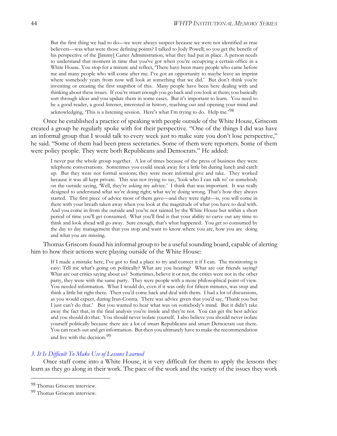But the first thing we had to do—we were always suspect because we were not identified as true believers—was what were those defining points? I talked to Jody Powell; so you get the benefit of his perspective of the [Jimmy] Carter Administration, what they had put in place. A person needs to understand that moment in time that you've got when you're occupying a certain office in a White House. You stop for a minute and reflect, 'There have been many people who came before me and many people who will come after me. I've got an opportunity to maybe leave an imprint where somebody years from now will look at something that we did.' But don't think you're inventing or creating the first snapshot of this. Many people have been here dealing with and thinking about these issues. If you're smart enough you go back and you look at them; you basically sort through ideas and you update them in some cases. But it's important to learn. You need to be a good reader, a good listener, interested in history, reaching out and opening your mind and acknowledging, 'This is a listening session. Here's what I'm trying to do. Help me.'[98](#page-49-1)

Once he established a practice of speaking with people outside of the White House, Griscom created a group he regularly spoke with for their perspective. "One of the things I did was have an informal group that I would talk to every week just to make sure you don't lose perspective," he said. "Some of them had been press secretaries. Some of them were reporters. Some of them were policy people. They were both Republicans and Democrats." He added:

I never put the whole group together. A lot of times because of the press of business they were telephone conversations. Sometimes you could sneak away for a little bit during lunch and catch up. But they were not formal sessions; they were more informal give and take. They worked because it was all kept private. This was not trying to say, 'look who I can talk to' or somebody on the outside saying, 'Well, they're asking my advice.' I think that was important. It was really designed to understand what we're doing right; what we're doing wrong. That's how they always started. The first piece of advice most of them gave—and they were right—is, you will come in there with your breath taken away when you look at the magnitude of what you have to deal with. And you come in from the outside and you're not tainted by the White House but within a short period of time you'll get consumed. What you'll find is that your ability to carve out any time to think and look ahead will go away. Sure enough, that's what happened. You get so consumed by the day to day management that you stop and want to know where you are, how you are doing and what you are missing.

Thomas Griscom found his informal group to be a useful sounding board, capable of alerting him to how their actions were playing outside of the White House:

If I made a mistake here, I've got to find a place to try and correct it if I can. The monitoring is easy: Tell me what's going on politically? What are you hearing? What are our friends saying? What are our critics saying about us? Sometimes, believe it or not, the critics were not in the other party, they were with the same party. They were people with a more philosophical point of view. You needed information. What I would do, even if it was only for fifteen minutes, was stop and think a little bit right there. Then you'd come back and deal with them. I had a lot of discussions, as you would expect, during Iran-Contra. There was advice given that you'd say, 'Thank you but I just can't do that.' But you wanted to hear what was on somebody's mind. But it didn't take away the fact that, in the final analysis you're inside and they're not. You can get the best advice and you should do that. You should never isolate yourself. I also believe you should never isolate yourself politically because there are a lot of smart Republicans and smart Democrats out there. You can reach out and get information. But then you ultimately have to make the recommendation and live with the decision.[99](#page-49-2)

## <span id="page-49-0"></span>*3. It Is Difficult To Make Use of Lessons Learned*

Once staff come into a White House, it is very difficult for them to apply the lessons they learn as they go along in their work. The pace of the work and the variety of the issues they work

<span id="page-49-1"></span> <sup>98</sup> Thomas Griscom interview.

<span id="page-49-2"></span><sup>99</sup> Thomas Griscom interview.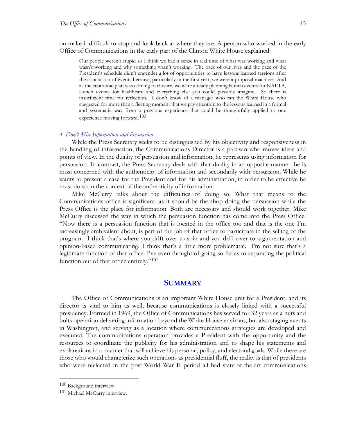on make it difficult to stop and look back at where they are. A person who worked in the early Office of Communications in the early part of the Clinton White House explained:

Our people weren't stupid so I think we had a sense in real time of what was working and what wasn't working and why something wasn't working. The pace of our lives and the pace of the President's schedule didn't engender a lot of opportunities to have lessons learned sessions after the conclusion of events because, particularly in the first year, we were a proposal machine. And as the economic plan was coming to closure, we were already planning launch events for NAFTA, launch events for healthcare and everything else you could possibly imagine. So there is insufficient time for reflection. I don't know of a manager who ran the White House who suggested for more than a fleeting moment that we pay attention to the lessons learned in a formal and systematic way from a previous experience that could be thoughtfully applied to one experience moving forward.[100](#page-50-2)

#### <span id="page-50-0"></span>*4. Don't Mix Information and Persuasion*

While the Press Secretary seeks to be distinguished by his objectivity and responsiveness in the handling of information, the Communications Director is a partisan who moves ideas and points of view. In the duality of persuasion and information, he represents using information for persuasion. In contrast, the Press Secretary deals with that duality in an opposite manner: he is most concerned with the authenticity of information and secondarily with persuasion. While he wants to present a case for the President and for his administration, in order to be effective he must do so in the context of the authenticity of information.

Mike McCurry talks about the difficulties of doing so. What that means to the Communications office is significant, as it should be the shop doing the persuasion while the Press Office is the place for information. Both are necessary and should work together. Mike McCurry discussed the way in which the persuasion function has come into the Press Office. "Now there is a persuasion function that is located in the office too and that is the one I'm increasingly ambivalent about, is part of the job of that office to participate in the selling of the program. I think that's where you drift over to spin and you drift over to argumentation and opinion-based communicating. I think that's a little more problematic. I'm not sure that's a legitimate function of that office. I've even thought of going so far as to separating the political function out of that office entirely."[101](#page-50-3)

## **SUMMARY**

<span id="page-50-1"></span>The Office of Communications is an important White House unit for a President, and its director is vital to him as well, because communications is closely linked with a successful presidency. Formed in 1969, the Office of Communications has served for 32 years as a nuts and bolts operation delivering information beyond the White House environs, but also staging events in Washington, and serving as a location where communications strategies are developed and executed. The communications operation provides a President with the opportunity and the resources to coordinate the publicity for his administration and to shape his statements and explanations in a manner that will achieve his personal, policy, and electoral goals. While there are those who would characterize such operations as presidential fluff, the reality is that of presidents who were reelected in the post-World War II period all had state-of-the-art communications

<span id="page-50-2"></span> <sup>100</sup> Background interview.

<span id="page-50-3"></span><sup>101</sup> Michael McCurry interview.